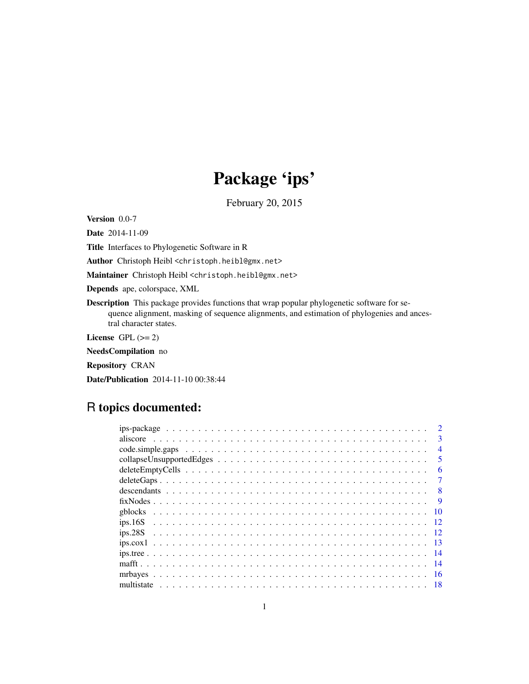# Package 'ips'

February 20, 2015

<span id="page-0-0"></span>Version 0.0-7

Date 2014-11-09

Title Interfaces to Phylogenetic Software in R

Author Christoph Heibl <christoph.heibl@gmx.net>

Maintainer Christoph Heibl <christoph.heibl@gmx.net>

Depends ape, colorspace, XML

Description This package provides functions that wrap popular phylogenetic software for sequence alignment, masking of sequence alignments, and estimation of phylogenies and ancestral character states.

License GPL  $(>= 2)$ 

NeedsCompilation no

Repository CRAN

Date/Publication 2014-11-10 00:38:44

# R topics documented:

| $ips\text{-}package \dots \dots \dots \dots \dots \dots \dots \dots \dots \dots \dots \dots \dots \dots \dots \dots$ |
|----------------------------------------------------------------------------------------------------------------------|
| $\mathbf{3}$                                                                                                         |
| $\overline{4}$                                                                                                       |
| $\overline{\mathbf{5}}$                                                                                              |
| 6                                                                                                                    |
|                                                                                                                      |
| 8                                                                                                                    |
| -9                                                                                                                   |
| 10                                                                                                                   |
|                                                                                                                      |
|                                                                                                                      |
| -13                                                                                                                  |
|                                                                                                                      |
|                                                                                                                      |
| 16                                                                                                                   |
|                                                                                                                      |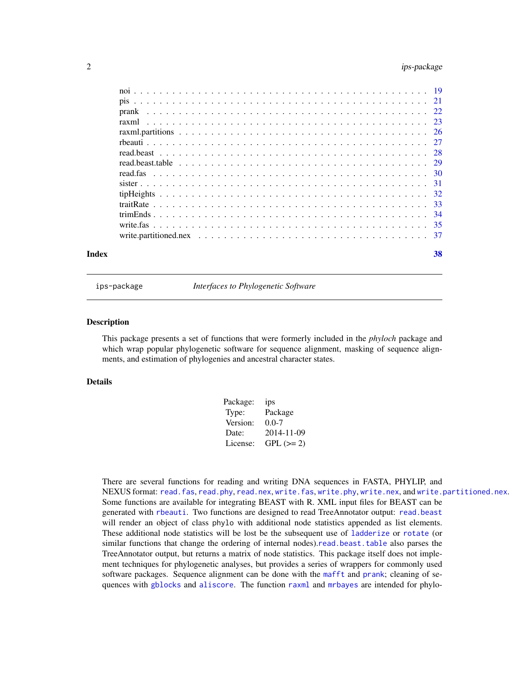# <span id="page-1-0"></span>2 ips-package

| Index | 38 |
|-------|----|

ips-package *Interfaces to Phylogenetic Software*

#### **Description**

This package presents a set of functions that were formerly included in the *phyloch* package and which wrap popular phylogenetic software for sequence alignment, masking of sequence alignments, and estimation of phylogenies and ancestral character states.

# Details

| ips        |
|------------|
| Package    |
| $0.0 - 7$  |
| 2014-11-09 |
| $GPL (=2)$ |
|            |

There are several functions for reading and writing DNA sequences in FASTA, PHYLIP, and NEXUS format: [read.fas](#page-29-1), [read.phy](#page-29-2), [read.nex](#page-29-2), [write.fas](#page-34-1), [write.phy](#page-34-2), [write.nex](#page-34-2), and [write.partitioned.nex](#page-36-1). Some functions are available for integrating BEAST with R. XML input files for BEAST can be generated with [rbeauti](#page-26-1). Two functions are designed to read TreeAnnotator output: [read.beast](#page-27-1) will render an object of class phylo with additional node statistics appended as list elements. These additional node statistics will be lost be the subsequent use of [ladderize](#page-0-0) or [rotate](#page-0-0) (or similar functions that change the ordering of internal nodes).[read.beast.table](#page-28-1) also parses the TreeAnnotator output, but returns a matrix of node statistics. This package itself does not implement techniques for phylogenetic analyses, but provides a series of wrappers for commonly used software packages. Sequence alignment can be done with the [mafft](#page-13-1) and [prank](#page-21-1); cleaning of sequences with [gblocks](#page-9-1) and [aliscore](#page-2-1). The function [raxml](#page-22-1) and [mrbayes](#page-15-1) are intended for phylo-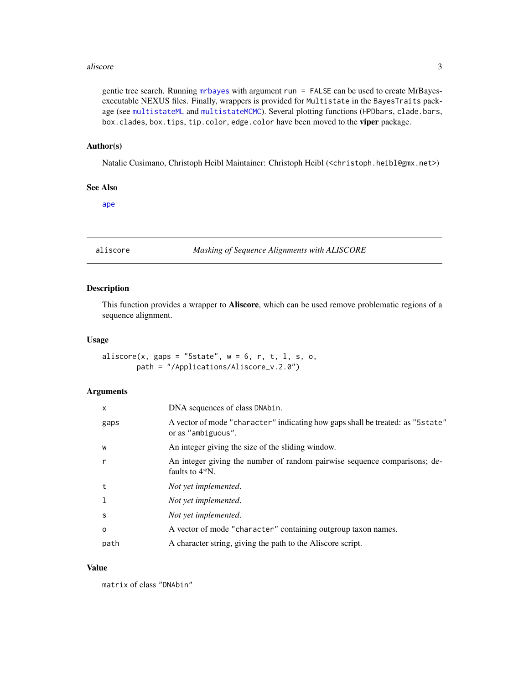#### <span id="page-2-0"></span>aliscore  $\overline{3}$

gentic tree search. Running [mrbayes](#page-15-1) with argument run = FALSE can be used to create MrBayesexecutable NEXUS files. Finally, wrappers is provided for Multistate in the BayesTraits package (see [multistateML](#page-17-1) and [multistateMCMC](#page-17-1)). Several plotting functions (HPDbars, clade.bars, box.clades, box.tips, tip.color, edge.color have been moved to the viper package.

#### Author(s)

Natalie Cusimano, Christoph Heibl Maintainer: Christoph Heibl (<christoph.heibl@gmx.net>)

# See Also

[ape](#page-0-0)

<span id="page-2-1"></span>aliscore *Masking of Sequence Alignments with ALISCORE*

# Description

This function provides a wrapper to **Aliscore**, which can be used remove problematic regions of a sequence alignment.

#### Usage

aliscore(x, gaps = "5state",  $w = 6$ , r, t, l, s, o, path = "/Applications/Aliscore\_v.2.0")

#### Arguments

| X        | DNA sequences of class DNAbin.                                                                       |
|----------|------------------------------------------------------------------------------------------------------|
| gaps     | A vector of mode "character" indicating how gaps shall be treated: as "5state"<br>or as "ambiguous". |
| W        | An integer giving the size of the sliding window.                                                    |
| r        | An integer giving the number of random pairwise sequence comparisons; de-<br>faults to $4*N$ .       |
| t        | Not yet implemented.                                                                                 |
| -1       | Not yet implemented.                                                                                 |
| S        | Not yet implemented.                                                                                 |
| $\Omega$ | A vector of mode "character" containing outgroup taxon names.                                        |
| path     | A character string, giving the path to the Aliscore script.                                          |

#### Value

matrix of class "DNAbin"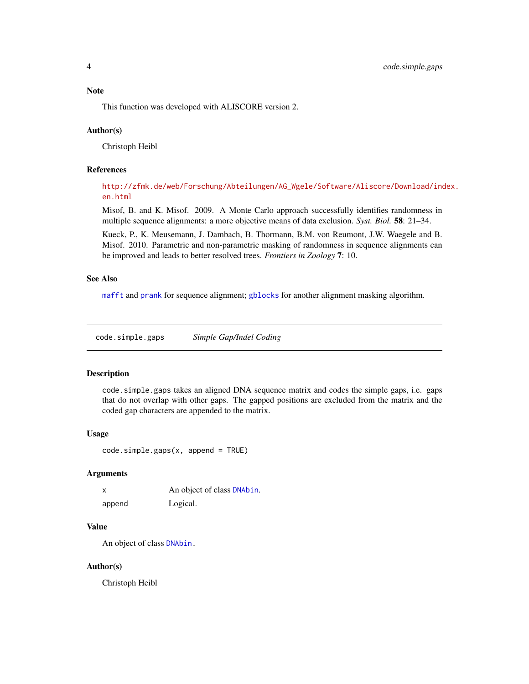#### <span id="page-3-0"></span>Note

This function was developed with ALISCORE version 2.

#### Author(s)

Christoph Heibl

# References

[http://zfmk.de/web/Forschung/Abteilungen/AG\\_Wgele/Software/Aliscore/Download/ind](http://zfmk.de/web/Forschung/Abteilungen/AG_Wgele/Software/Aliscore/Download/index.en.html)ex. [en.html](http://zfmk.de/web/Forschung/Abteilungen/AG_Wgele/Software/Aliscore/Download/index.en.html)

Misof, B. and K. Misof. 2009. A Monte Carlo approach successfully identifies randomness in multiple sequence alignments: a more objective means of data exclusion. *Syst. Biol.* 58: 21–34.

Kueck, P., K. Meusemann, J. Dambach, B. Thormann, B.M. von Reumont, J.W. Waegele and B. Misof. 2010. Parametric and non-parametric masking of randomness in sequence alignments can be improved and leads to better resolved trees. *Frontiers in Zoology* 7: 10.

#### See Also

[mafft](#page-13-1) and [prank](#page-21-1) for sequence alignment; [gblocks](#page-9-1) for another alignment masking algorithm.

<span id="page-3-1"></span>code.simple.gaps *Simple Gap/Indel Coding*

#### Description

code.simple.gaps takes an aligned DNA sequence matrix and codes the simple gaps, i.e. gaps that do not overlap with other gaps. The gapped positions are excluded from the matrix and the coded gap characters are appended to the matrix.

#### Usage

code.simple.gaps(x, append = TRUE)

#### Arguments

| x      | An object of class DNAbin. |
|--------|----------------------------|
| append | Logical.                   |

# Value

An object of class [DNAbin.](#page-0-0)

#### Author(s)

Christoph Heibl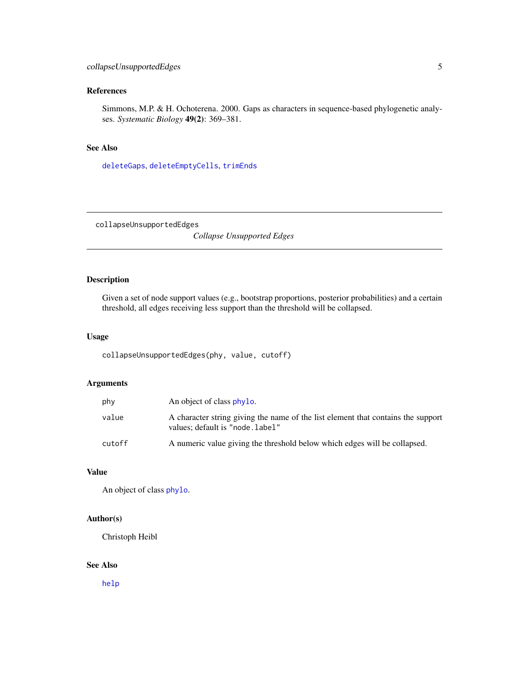# <span id="page-4-0"></span>References

Simmons, M.P. & H. Ochoterena. 2000. Gaps as characters in sequence-based phylogenetic analyses. *Systematic Biology* 49(2): 369–381.

# See Also

[deleteGaps](#page-6-1), [deleteEmptyCells](#page-5-1), [trimEnds](#page-33-1)

collapseUnsupportedEdges

*Collapse Unsupported Edges*

# Description

Given a set of node support values (e.g., bootstrap proportions, posterior probabilities) and a certain threshold, all edges receiving less support than the threshold will be collapsed.

### Usage

collapseUnsupportedEdges(phy, value, cutoff)

# Arguments

| phy    | An object of class phylo.                                                                                            |
|--------|----------------------------------------------------------------------------------------------------------------------|
| value  | A character string giving the name of the list element that contains the support<br>values; default is "node. label" |
| cutoff | A numeric value giving the threshold below which edges will be collapsed.                                            |

#### Value

An object of class [phylo](#page-0-0).

# Author(s)

Christoph Heibl

#### See Also

[help](#page-0-0)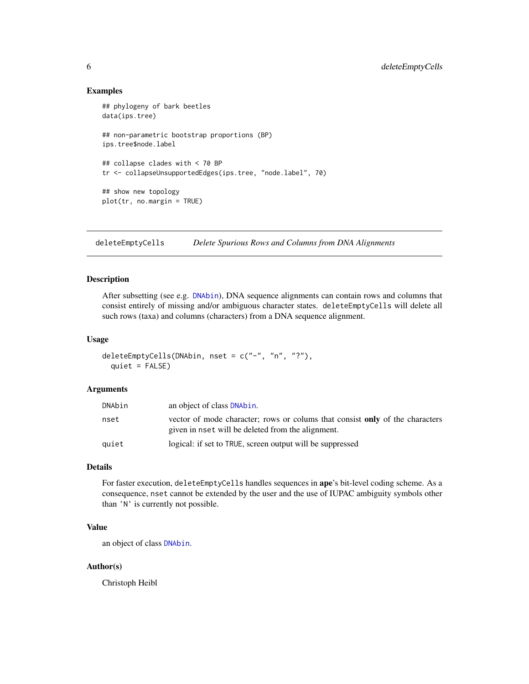#### Examples

```
## phylogeny of bark beetles
data(ips.tree)
## non-parametric bootstrap proportions (BP)
ips.tree$node.label
## collapse clades with < 70 BP
tr <- collapseUnsupportedEdges(ips.tree, "node.label", 70)
## show new topology
plot(tr, no.margin = TRUE)
```
<span id="page-5-1"></span>deleteEmptyCells *Delete Spurious Rows and Columns from DNA Alignments*

# Description

After subsetting (see e.g. [DNAbin](#page-0-0)), DNA sequence alignments can contain rows and columns that consist entirely of missing and/or ambiguous character states. deleteEmptyCells will delete all such rows (taxa) and columns (characters) from a DNA sequence alignment.

#### Usage

```
deleteEmptyCells(DNAbin, nset = c("-", "n", "?"),
  quiet = FALSE)
```
# Arguments

| DNAbin | an object of class DNAbin.                                                                                                               |
|--------|------------------------------------------------------------------------------------------------------------------------------------------|
| nset   | vector of mode character; rows or colums that consist <b>only</b> of the characters<br>given in nset will be deleted from the alignment. |
| auiet  | logical: if set to TRUE, screen output will be suppressed                                                                                |

#### Details

For faster execution, deleteEmptyCells handles sequences in ape's bit-level coding scheme. As a consequence, nset cannot be extended by the user and the use of IUPAC ambiguity symbols other than 'N' is currently not possible.

# Value

an object of class [DNAbin](#page-0-0).

#### Author(s)

Christoph Heibl

<span id="page-5-0"></span>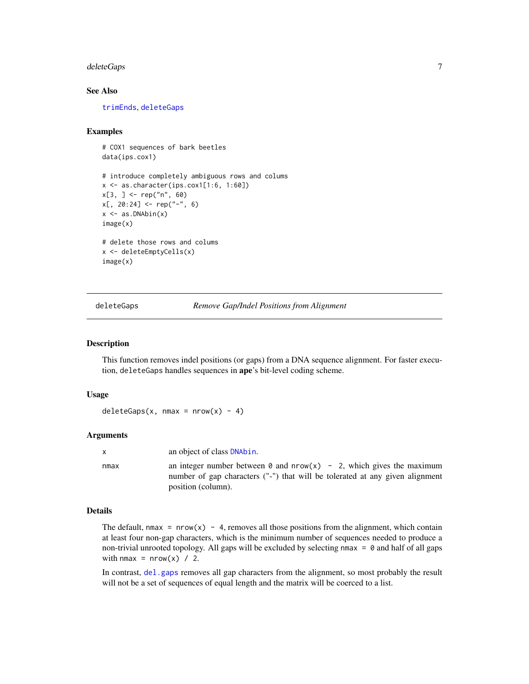#### <span id="page-6-0"></span> $delet$ e $Gaps$   $7$

# See Also

[trimEnds](#page-33-1), [deleteGaps](#page-6-1)

#### Examples

# COX1 sequences of bark beetles data(ips.cox1) # introduce completely ambiguous rows and colums x <- as.character(ips.cox1[1:6, 1:60]) x[3, ] <- rep("n", 60)  $x[, 20:24] < -$  rep("-", 6)  $x \leftarrow as.DNAbin(x)$ image(x) # delete those rows and colums x <- deleteEmptyCells(x) image(x)

<span id="page-6-1"></span>deleteGaps *Remove Gap/Indel Positions from Alignment*

#### Description

This function removes indel positions (or gaps) from a DNA sequence alignment. For faster execution, deleteGaps handles sequences in ape's bit-level coding scheme.

#### Usage

```
deleteGaps(x, nmax = nrow(x) - 4)
```
#### Arguments

| $\mathsf{x}$ | an object of class <b>DNAbin</b> .                                                                                                                                                  |
|--------------|-------------------------------------------------------------------------------------------------------------------------------------------------------------------------------------|
| nmax         | an integer number between $\theta$ and $nrow(x)$ - 2, which gives the maximum<br>number of gap characters ("-") that will be tolerated at any given alignment<br>position (column). |

#### Details

The default, nmax =  $nrow(x) - 4$ , removes all those positions from the alignment, which contain at least four non-gap characters, which is the minimum number of sequences needed to produce a non-trivial unrooted topology. All gaps will be excluded by selecting  $nmax = 0$  and half of all gaps with nmax =  $nrow(x)$  / 2.

In contrast, [del.gaps](#page-0-0) removes all gap characters from the alignment, so most probably the result will not be a set of sequences of equal length and the matrix will be coerced to a list.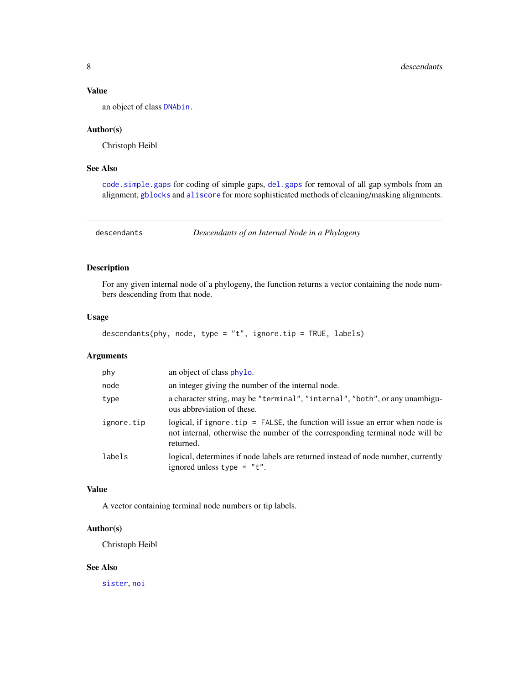#### <span id="page-7-0"></span>Value

an object of class [DNAbin.](#page-0-0)

#### Author(s)

Christoph Heibl

# See Also

[code.simple.gaps](#page-3-1) for coding of simple gaps, [del.gaps](#page-0-0) for removal of all gap symbols from an alignment, [gblocks](#page-9-1) and [aliscore](#page-2-1) for more sophisticated methods of cleaning/masking alignments.

<span id="page-7-1"></span>descendants *Descendants of an Internal Node in a Phylogeny*

# Description

For any given internal node of a phylogeny, the function returns a vector containing the node numbers descending from that node.

#### Usage

descendants(phy, node, type = "t", ignore.tip = TRUE, labels)

# Arguments

| phy        | an object of class phylo.                                                                                                                                                                    |
|------------|----------------------------------------------------------------------------------------------------------------------------------------------------------------------------------------------|
| node       | an integer giving the number of the internal node.                                                                                                                                           |
| type       | a character string, may be "terminal", "internal", "both", or any unambigu-<br>ous abbreviation of these.                                                                                    |
| ignore.tip | logical, if ignore $\text{tip} = \text{FALSE}$ , the function will issue an error when node is<br>not internal, otherwise the number of the corresponding terminal node will be<br>returned. |
| labels     | logical, determines if node labels are returned instead of node number, currently<br>ignored unless type $= "t".$                                                                            |

# Value

A vector containing terminal node numbers or tip labels.

#### Author(s)

Christoph Heibl

#### See Also

[sister](#page-30-1), [noi](#page-18-1)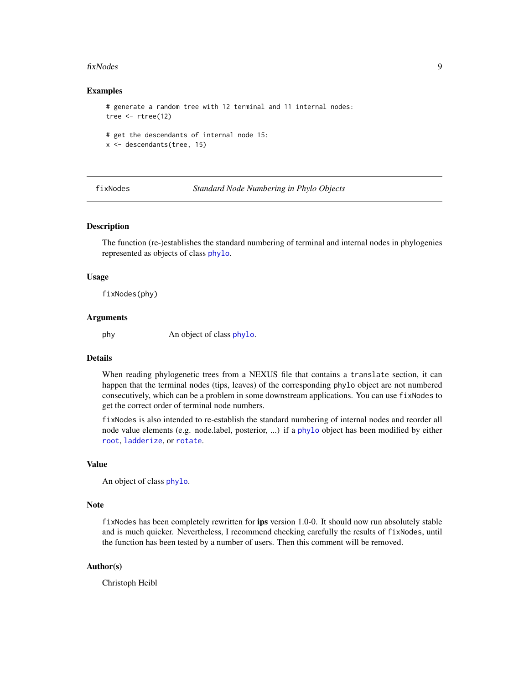#### <span id="page-8-0"></span>fixNodes 9

#### Examples

```
# generate a random tree with 12 terminal and 11 internal nodes:
tree <- rtree(12)
# get the descendants of internal node 15:
x <- descendants(tree, 15)
```
fixNodes *Standard Node Numbering in Phylo Objects*

#### Description

The function (re-)establishes the standard numbering of terminal and internal nodes in phylogenies represented as objects of class [phylo](#page-0-0).

#### Usage

fixNodes(phy)

#### Arguments

phy An object of class [phylo](#page-0-0).

#### Details

When reading phylogenetic trees from a NEXUS file that contains a translate section, it can happen that the terminal nodes (tips, leaves) of the corresponding phylo object are not numbered consecutively, which can be a problem in some downstream applications. You can use fixNodes to get the correct order of terminal node numbers.

fixNodes is also intended to re-establish the standard numbering of internal nodes and reorder all node value elements (e.g. node.label, posterior, ...) if a [phylo](#page-0-0) object has been modified by either [root](#page-0-0), [ladderize](#page-0-0), or [rotate](#page-0-0).

#### Value

An object of class [phylo](#page-0-0).

#### Note

fixNodes has been completely rewritten for ips version 1.0-0. It should now run absolutely stable and is much quicker. Nevertheless, I recommend checking carefully the results of fixNodes, until the function has been tested by a number of users. Then this comment will be removed.

#### Author(s)

Christoph Heibl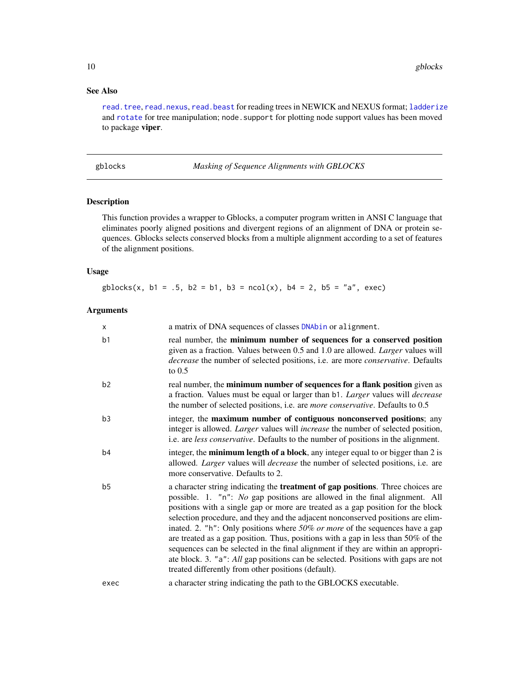# See Also

[read.tree](#page-0-0), [read.nexus](#page-0-0), [read.beast](#page-27-1) for reading trees in NEWICK and NEXUS format; [ladderize](#page-0-0) and [rotate](#page-0-0) for tree manipulation; node. support for plotting node support values has been moved to package viper.

<span id="page-9-1"></span>gblocks *Masking of Sequence Alignments with GBLOCKS*

#### Description

This function provides a wrapper to Gblocks, a computer program written in ANSI C language that eliminates poorly aligned positions and divergent regions of an alignment of DNA or protein sequences. Gblocks selects conserved blocks from a multiple alignment according to a set of features of the alignment positions.

# Usage

 $gblocks(x, b1 = .5, b2 = b1, b3 = ncol(x), b4 = 2, b5 = "a", exec)$ 

## Arguments

| $\mathsf{x}$   | a matrix of DNA sequences of classes DNAbin or alignment.                                                                                                                                                                                                                                                                                                                                                                                                                                                                                                                                                                                                                                                                                           |
|----------------|-----------------------------------------------------------------------------------------------------------------------------------------------------------------------------------------------------------------------------------------------------------------------------------------------------------------------------------------------------------------------------------------------------------------------------------------------------------------------------------------------------------------------------------------------------------------------------------------------------------------------------------------------------------------------------------------------------------------------------------------------------|
| b <sub>1</sub> | real number, the minimum number of sequences for a conserved position<br>given as a fraction. Values between 0.5 and 1.0 are allowed. Larger values will<br>decrease the number of selected positions, i.e. are more conservative. Defaults<br>to $0.5$                                                                                                                                                                                                                                                                                                                                                                                                                                                                                             |
| b2             | real number, the minimum number of sequences for a flank position given as<br>a fraction. Values must be equal or larger than b1. Larger values will decrease<br>the number of selected positions, i.e. are <i>more conservative</i> . Defaults to 0.5                                                                                                                                                                                                                                                                                                                                                                                                                                                                                              |
| b3             | integer, the maximum number of contiguous nonconserved positions; any<br>integer is allowed. Larger values will increase the number of selected position,<br>i.e. are less conservative. Defaults to the number of positions in the alignment.                                                                                                                                                                                                                                                                                                                                                                                                                                                                                                      |
| b4             | integer, the <b>minimum length of a block</b> , any integer equal to or bigger than 2 is<br>allowed. <i>Larger</i> values will <i>decrease</i> the number of selected positions, i.e. are<br>more conservative. Defaults to 2.                                                                                                                                                                                                                                                                                                                                                                                                                                                                                                                      |
| b <sub>5</sub> | a character string indicating the <b>treatment of gap positions</b> . Three choices are<br>possible. 1. "n": No gap positions are allowed in the final alignment. All<br>positions with a single gap or more are treated as a gap position for the block<br>selection procedure, and they and the adjacent nonconserved positions are elim-<br>inated. 2. "h": Only positions where $50\%$ or more of the sequences have a gap<br>are treated as a gap position. Thus, positions with a gap in less than 50% of the<br>sequences can be selected in the final alignment if they are within an appropri-<br>ate block. 3. "a": All gap positions can be selected. Positions with gaps are not<br>treated differently from other positions (default). |
| exec           | a character string indicating the path to the GBLOCKS executable.                                                                                                                                                                                                                                                                                                                                                                                                                                                                                                                                                                                                                                                                                   |

<span id="page-9-0"></span>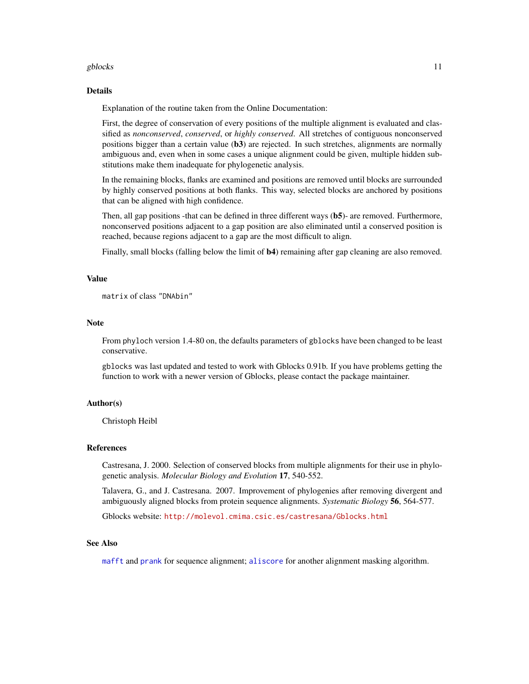#### <span id="page-10-0"></span>gblocks and the state of the state of the state of the state of the state of the state of the state of the state of the state of the state of the state of the state of the state of the state of the state of the state of th

#### Details

Explanation of the routine taken from the Online Documentation:

First, the degree of conservation of every positions of the multiple alignment is evaluated and classified as *nonconserved*, *conserved*, or *highly conserved*. All stretches of contiguous nonconserved positions bigger than a certain value  $(b3)$  are rejected. In such stretches, alignments are normally ambiguous and, even when in some cases a unique alignment could be given, multiple hidden substitutions make them inadequate for phylogenetic analysis.

In the remaining blocks, flanks are examined and positions are removed until blocks are surrounded by highly conserved positions at both flanks. This way, selected blocks are anchored by positions that can be aligned with high confidence.

Then, all gap positions -that can be defined in three different ways (b5)- are removed. Furthermore, nonconserved positions adjacent to a gap position are also eliminated until a conserved position is reached, because regions adjacent to a gap are the most difficult to align.

Finally, small blocks (falling below the limit of **b4**) remaining after gap cleaning are also removed.

#### Value

```
matrix of class "DNAbin"
```
#### Note

From phyloch version 1.4-80 on, the defaults parameters of gblocks have been changed to be least conservative.

gblocks was last updated and tested to work with Gblocks 0.91b. If you have problems getting the function to work with a newer version of Gblocks, please contact the package maintainer.

# Author(s)

Christoph Heibl

#### References

Castresana, J. 2000. Selection of conserved blocks from multiple alignments for their use in phylogenetic analysis. *Molecular Biology and Evolution* 17, 540-552.

Talavera, G., and J. Castresana. 2007. Improvement of phylogenies after removing divergent and ambiguously aligned blocks from protein sequence alignments. *Systematic Biology* 56, 564-577.

Gblocks website: <http://molevol.cmima.csic.es/castresana/Gblocks.html>

#### See Also

[mafft](#page-13-1) and [prank](#page-21-1) for sequence alignment; [aliscore](#page-2-1) for another alignment masking algorithm.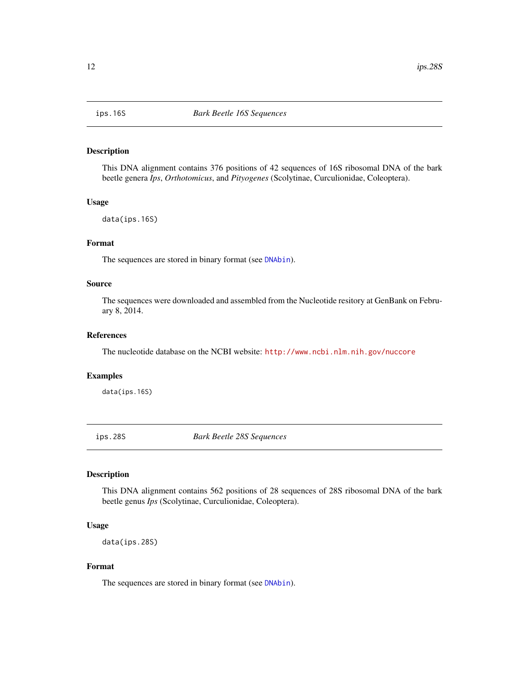<span id="page-11-0"></span>

# Description

This DNA alignment contains 376 positions of 42 sequences of 16S ribosomal DNA of the bark beetle genera *Ips*, *Orthotomicus*, and *Pityogenes* (Scolytinae, Curculionidae, Coleoptera).

#### Usage

data(ips.16S)

# Format

The sequences are stored in binary format (see [DNAbin](#page-0-0)).

#### Source

The sequences were downloaded and assembled from the Nucleotide resitory at GenBank on February 8, 2014.

#### References

The nucleotide database on the NCBI website: <http://www.ncbi.nlm.nih.gov/nuccore>

#### Examples

data(ips.16S)

ips.28S *Bark Beetle 28S Sequences*

# Description

This DNA alignment contains 562 positions of 28 sequences of 28S ribosomal DNA of the bark beetle genus *Ips* (Scolytinae, Curculionidae, Coleoptera).

#### Usage

data(ips.28S)

## Format

The sequences are stored in binary format (see [DNAbin](#page-0-0)).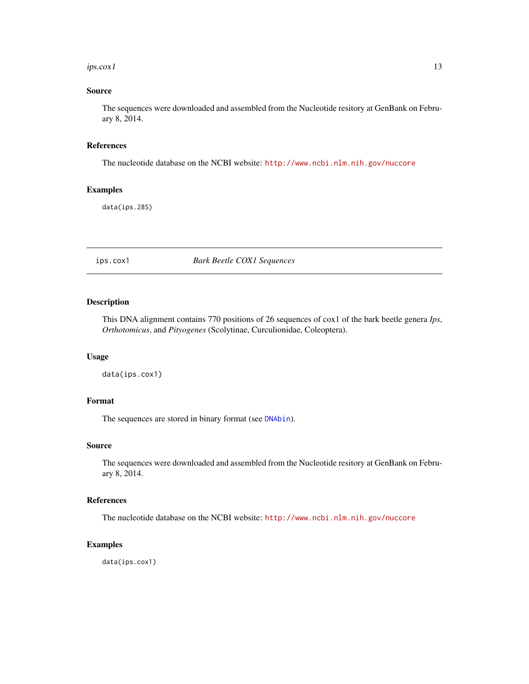#### <span id="page-12-0"></span> $i$ ps.cox1 13

# Source

The sequences were downloaded and assembled from the Nucleotide resitory at GenBank on February 8, 2014.

#### References

The nucleotide database on the NCBI website: <http://www.ncbi.nlm.nih.gov/nuccore>

# Examples

data(ips.28S)

ips.cox1 *Bark Beetle COX1 Sequences*

# Description

This DNA alignment contains 770 positions of 26 sequences of cox1 of the bark beetle genera *Ips*, *Orthotomicus*, and *Pityogenes* (Scolytinae, Curculionidae, Coleoptera).

#### Usage

data(ips.cox1)

#### Format

The sequences are stored in binary format (see [DNAbin](#page-0-0)).

#### Source

The sequences were downloaded and assembled from the Nucleotide resitory at GenBank on February 8, 2014.

#### References

The nucleotide database on the NCBI website: <http://www.ncbi.nlm.nih.gov/nuccore>

#### Examples

data(ips.cox1)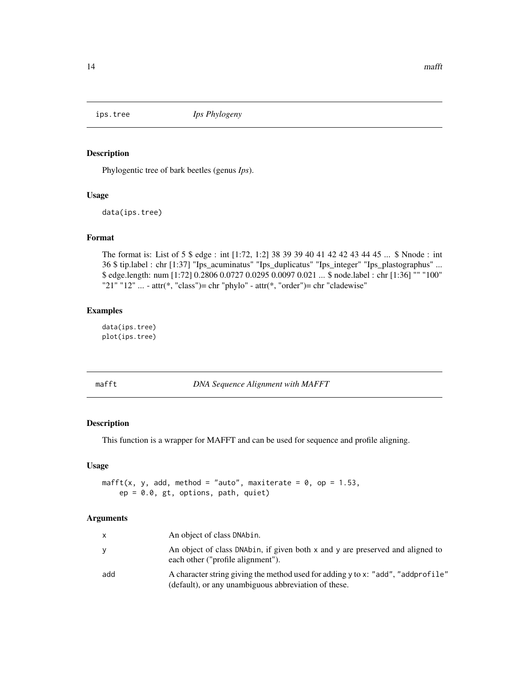<span id="page-13-0"></span>

#### Description

Phylogentic tree of bark beetles (genus *Ips*).

#### Usage

data(ips.tree)

# Format

The format is: List of 5 \$ edge : int [1:72, 1:2] 38 39 39 40 41 42 42 43 44 45 ... \$ Nnode : int 36 \$ tip.label : chr [1:37] "Ips\_acuminatus" "Ips\_duplicatus" "Ips\_integer" "Ips\_plastographus" ... \$ edge.length: num [1:72] 0.2806 0.0727 0.0295 0.0097 0.021 ... \$ node.label : chr [1:36] "" "100" "21" "12" ... - attr $(*, "class") = chr "phylo" - attr(*, "order") = chr "cladewise"$ 

# Examples

data(ips.tree) plot(ips.tree)

<span id="page-13-1"></span>mafft *DNA Sequence Alignment with MAFFT*

# Description

This function is a wrapper for MAFFT and can be used for sequence and profile aligning.

# Usage

```
mafft(x, y, add, method = "auto", maxiterate = 0, op = 1.53,
   ep = 0.0, gt, options, path, quiet)
```
# Arguments

| $\mathsf{X}$ | An object of class DNAbin.                                                                                                               |
|--------------|------------------------------------------------------------------------------------------------------------------------------------------|
| y            | An object of class DNAbin, if given both x and y are preserved and aligned to<br>each other ("profile alignment").                       |
| add          | A character string giving the method used for adding y to x: "add", "addprofile"<br>(default), or any unambiguous abbreviation of these. |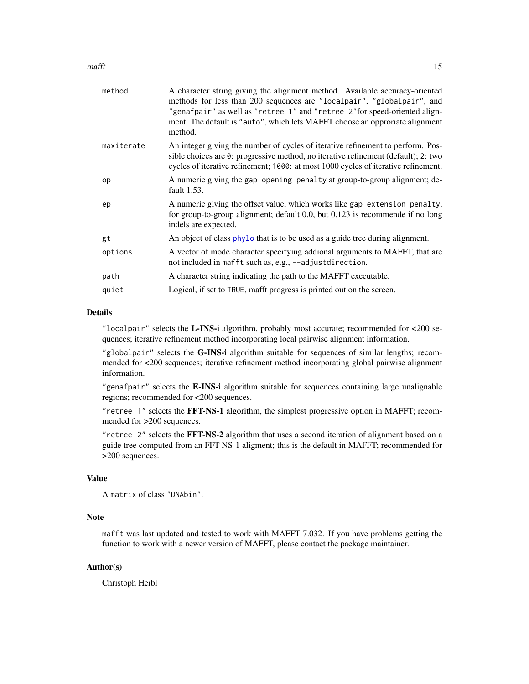#### <span id="page-14-0"></span> $m$ afft $15$

| method     | A character string giving the alignment method. Available accuracy-oriented<br>methods for less than 200 sequences are "localpair", "globalpair", and<br>"genafpair" as well as "retree 1" and "retree 2" for speed-oriented align-<br>ment. The default is "auto", which lets MAFFT choose an opproriate alignment<br>method. |
|------------|--------------------------------------------------------------------------------------------------------------------------------------------------------------------------------------------------------------------------------------------------------------------------------------------------------------------------------|
| maxiterate | An integer giving the number of cycles of iterative refinement to perform. Pos-<br>sible choices are 0: progressive method, no iterative refinement (default); 2: two<br>cycles of iterative refinement; 1000: at most 1000 cycles of iterative refinement.                                                                    |
| op         | A numeric giving the gap opening penalty at group-to-group alignment; de-<br>fault 1.53.                                                                                                                                                                                                                                       |
| ep         | A numeric giving the offset value, which works like gap extension penalty,<br>for group-to-group alignment; default 0.0, but 0.123 is recommende if no long<br>indels are expected.                                                                                                                                            |
| gt         | An object of class phylo that is to be used as a guide tree during alignment.                                                                                                                                                                                                                                                  |
| options    | A vector of mode character specifying addional arguments to MAFFT, that are<br>not included in mafft such as, e.g., --adjustdirection.                                                                                                                                                                                         |
| path       | A character string indicating the path to the MAFFT executable.                                                                                                                                                                                                                                                                |
| quiet      | Logical, if set to TRUE, mafft progress is printed out on the screen.                                                                                                                                                                                                                                                          |
|            |                                                                                                                                                                                                                                                                                                                                |

# Details

"localpair" selects the L-INS-i algorithm, probably most accurate; recommended for  $\langle 200 \rangle$  sequences; iterative refinement method incorporating local pairwise alignment information.

"globalpair" selects the G-INS-i algorithm suitable for sequences of similar lengths; recommended for <200 sequences; iterative refinement method incorporating global pairwise alignment information.

"genafpair" selects the E-INS-i algorithm suitable for sequences containing large unalignable regions; recommended for <200 sequences.

"retree 1" selects the FFT-NS-1 algorithm, the simplest progressive option in MAFFT; recommended for >200 sequences.

"retree 2" selects the FFT-NS-2 algorithm that uses a second iteration of alignment based on a guide tree computed from an FFT-NS-1 aligment; this is the default in MAFFT; recommended for >200 sequences.

# Value

```
A matrix of class "DNAbin".
```
# Note

mafft was last updated and tested to work with MAFFT 7.032. If you have problems getting the function to work with a newer version of MAFFT, please contact the package maintainer.

# Author(s)

Christoph Heibl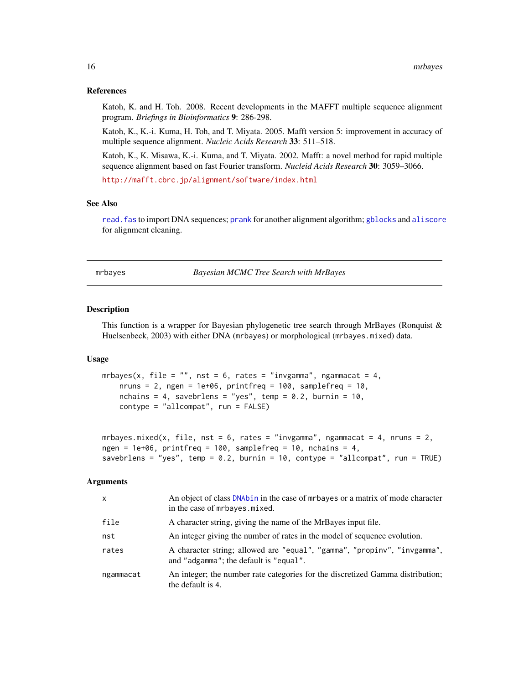#### <span id="page-15-0"></span>References

Katoh, K. and H. Toh. 2008. Recent developments in the MAFFT multiple sequence alignment program. *Briefings in Bioinformatics* 9: 286-298.

Katoh, K., K.-i. Kuma, H. Toh, and T. Miyata. 2005. Mafft version 5: improvement in accuracy of multiple sequence alignment. *Nucleic Acids Research* 33: 511–518.

Katoh, K., K. Misawa, K.-i. Kuma, and T. Miyata. 2002. Mafft: a novel method for rapid multiple sequence alignment based on fast Fourier transform. *Nucleid Acids Research* 30: 3059–3066.

<http://mafft.cbrc.jp/alignment/software/index.html>

#### See Also

[read.fas](#page-29-1) to import DNA sequences; [prank](#page-21-1) for another alignment algorithm; [gblocks](#page-9-1) and [aliscore](#page-2-1) for alignment cleaning.

<span id="page-15-1"></span>mrbayes *Bayesian MCMC Tree Search with MrBayes*

#### Description

This function is a wrapper for Bayesian phylogenetic tree search through MrBayes (Ronquist & Huelsenbeck, 2003) with either DNA (mrbayes) or morphological (mrbayes.mixed) data.

#### Usage

```
mrbayes(x, file = "", nst = 6, rates = "invgamma", ngammacat = 4,
   nruns = 2, ngen = 1e+06, printfreq = 100, samplefreq = 10,
   nchains = 4, savebrlens = "yes", temp = 0.2, burnin = 10,
   contype = "allcompat", run = FALSE)
```

```
mrbayes.mixed(x, file, nst = 6, rates = "invgamma", ngammacat = 4, nruns = 2,
ngen = 1e+06, printfreq = 100, samplefreq = 10, nchains = 4,
savebrlens = "yes", temp = 0.2, burnin = 10, contype = "allcompat", run = TRUE)
```
#### Arguments

| X         | An object of class DNAbin in the case of mrbayes or a matrix of mode character<br>in the case of mrbayes. mixed.   |
|-----------|--------------------------------------------------------------------------------------------------------------------|
| file      | A character string, giving the name of the MrBayes input file.                                                     |
| nst       | An integer giving the number of rates in the model of sequence evolution.                                          |
| rates     | A character string; allowed are "equal", "gamma", "propiny", "invgamma",<br>and "adgamma"; the default is "equal". |
| ngammacat | An integer; the number rate categories for the discretized Gamma distribution;<br>the default is 4.                |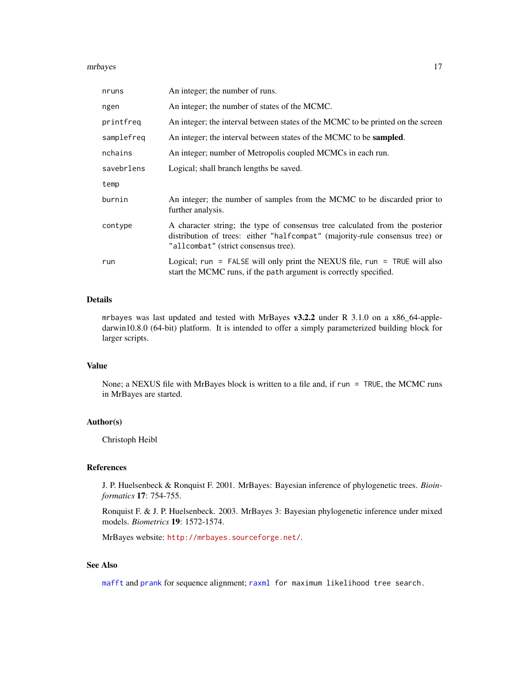#### <span id="page-16-0"></span>mrbayes and the state of the state of the state of the state of the state of the state of the state of the state of the state of the state of the state of the state of the state of the state of the state of the state of th

| nruns      | An integer; the number of runs.                                                                                                                                                                      |
|------------|------------------------------------------------------------------------------------------------------------------------------------------------------------------------------------------------------|
| ngen       | An integer; the number of states of the MCMC.                                                                                                                                                        |
| printfreq  | An integer; the interval between states of the MCMC to be printed on the screen                                                                                                                      |
| samplefreq | An integer; the interval between states of the MCMC to be <b>sampled</b> .                                                                                                                           |
| nchains    | An integer; number of Metropolis coupled MCMCs in each run.                                                                                                                                          |
| savebrlens | Logical; shall branch lengths be saved.                                                                                                                                                              |
| temp       |                                                                                                                                                                                                      |
| burnin     | An integer; the number of samples from the MCMC to be discarded prior to<br>further analysis.                                                                                                        |
| contype    | A character string; the type of consensus tree calculated from the posterior<br>distribution of trees: either "halfcompat" (majority-rule consensus tree) or<br>"allcombat" (strict consensus tree). |
| run        | Logical; run = FALSE will only print the NEXUS file, run = TRUE will also<br>start the MCMC runs, if the path argument is correctly specified.                                                       |

# Details

mrbayes was last updated and tested with MrBayes v3.2.2 under R 3.1.0 on a x86\_64-appledarwin10.8.0 (64-bit) platform. It is intended to offer a simply parameterized building block for larger scripts.

# Value

None; a NEXUS file with MrBayes block is written to a file and, if run = TRUE, the MCMC runs in MrBayes are started.

#### Author(s)

Christoph Heibl

#### References

J. P. Huelsenbeck & Ronquist F. 2001. MrBayes: Bayesian inference of phylogenetic trees. *Bioinformatics* 17: 754-755.

Ronquist F. & J. P. Huelsenbeck. 2003. MrBayes 3: Bayesian phylogenetic inference under mixed models. *Biometrics* 19: 1572-1574.

MrBayes website: <http://mrbayes.sourceforge.net/>.

# See Also

[mafft](#page-13-1) and [prank](#page-21-1) for sequence alignment; [raxml](#page-22-1) for maximum likelihood tree search.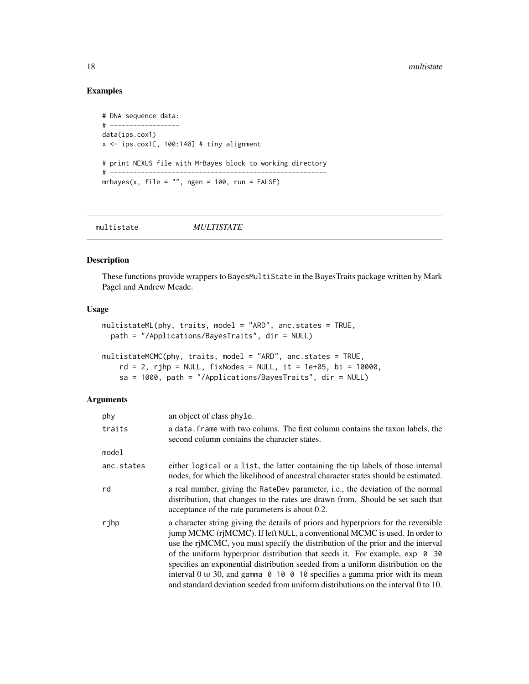# Examples

```
# DNA sequence data:
# ------------------
data(ips.cox1)
x \le - ips.cox1[, 100:140] # tiny alignment
# print NEXUS file with MrBayes block to working directory
# --------------------------------------------------------
mrbayes(x, file = "", ngen = 100, run = FALSE)
```

| <i>MULTISTATE</i><br>multistate |
|---------------------------------|
|---------------------------------|

#### <span id="page-17-1"></span>Description

These functions provide wrappers to BayesMultiState in the BayesTraits package written by Mark Pagel and Andrew Meade.

# Usage

```
multistateML(phy, traits, model = "ARD", anc.states = TRUE,
 path = "/Applications/BayesTraits", dir = NULL)
```

```
multistateMCMC(phy, traits, model = "ARD", anc.states = TRUE,
    rd = 2, rjhp = NULL, fixNodes = NULL, it = 1e+05, bi = 10000,
    sa = 1000, path = "/Applications/BayesTraits", dir = NULL)
```
# Arguments

| phy        | an object of class phylo.                                                                                                                                                                                                                                                                                                                                                                                                                                                                                                                                                                                  |
|------------|------------------------------------------------------------------------------------------------------------------------------------------------------------------------------------------------------------------------------------------------------------------------------------------------------------------------------------------------------------------------------------------------------------------------------------------------------------------------------------------------------------------------------------------------------------------------------------------------------------|
| traits     | a data, frame with two colums. The first column contains the taxon labels, the<br>second column contains the character states.                                                                                                                                                                                                                                                                                                                                                                                                                                                                             |
| model      |                                                                                                                                                                                                                                                                                                                                                                                                                                                                                                                                                                                                            |
| anc.states | either logical or a list, the latter containing the tip labels of those internal<br>nodes, for which the likelihood of ancestral character states should be estimated.                                                                                                                                                                                                                                                                                                                                                                                                                                     |
| rd         | a real number, giving the RateDev parameter, i.e., the deviation of the normal<br>distribution, that changes to the rates are drawn from. Should be set such that<br>acceptance of the rate parameters is about 0.2.                                                                                                                                                                                                                                                                                                                                                                                       |
| rjhp       | a character string giving the details of priors and hyperpriors for the reversible<br>jump MCMC (rjMCMC). If left NULL, a conventional MCMC is used. In order to<br>use the riMCMC, you must specify the distribution of the prior and the interval<br>of the uniform hyperprior distribution that seeds it. For example, $\exp$ 0 30<br>specifies an exponential distribution seeded from a uniform distribution on the<br>interval 0 to 30, and gamma $\theta$ 10 $\theta$ 10 specifies a gamma prior with its mean<br>and standard deviation seeded from uniform distributions on the interval 0 to 10. |

<span id="page-17-0"></span>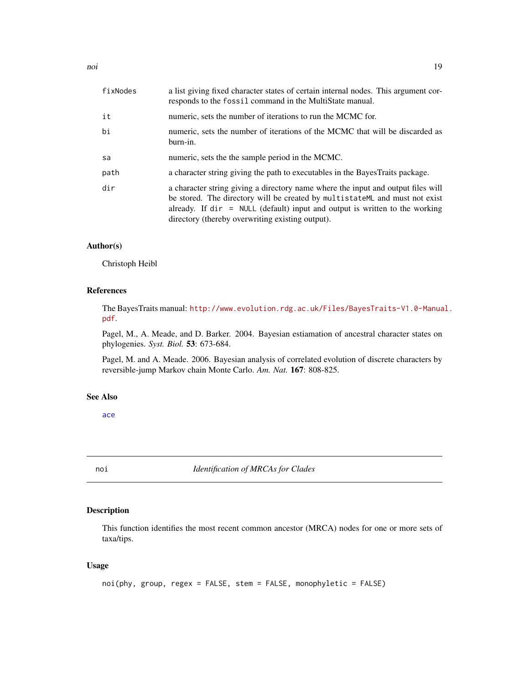<span id="page-18-0"></span>

| fixNodes | a list giving fixed character states of certain internal nodes. This argument cor-<br>responds to the fossil command in the MultiState manual.                                                                                                                                                                     |
|----------|--------------------------------------------------------------------------------------------------------------------------------------------------------------------------------------------------------------------------------------------------------------------------------------------------------------------|
| it       | numeric, sets the number of iterations to run the MCMC for.                                                                                                                                                                                                                                                        |
| bi       | numeric, sets the number of iterations of the MCMC that will be discarded as<br>burn-in.                                                                                                                                                                                                                           |
| sa       | numeric, sets the the sample period in the MCMC.                                                                                                                                                                                                                                                                   |
| path     | a character string giving the path to executables in the Bayes Traits package.                                                                                                                                                                                                                                     |
| dir      | a character string giving a directory name where the input and output files will<br>be stored. The directory will be created by multistateML and must not exist<br>already. If $\text{dir} = \text{NULL}$ (default) input and output is written to the working<br>directory (thereby overwriting existing output). |

#### Author(s)

Christoph Heibl

# References

The BayesTraits manual: [http://www.evolution.rdg.ac.uk/Files/BayesTraits-V1.0-Manua](http://www.evolution.rdg.ac.uk/Files/BayesTraits-V1.0-Manual.pdf)l. [pdf](http://www.evolution.rdg.ac.uk/Files/BayesTraits-V1.0-Manual.pdf).

Pagel, M., A. Meade, and D. Barker. 2004. Bayesian estiamation of ancestral character states on phylogenies. *Syst. Biol.* 53: 673-684.

Pagel, M. and A. Meade. 2006. Bayesian analysis of correlated evolution of discrete characters by reversible-jump Markov chain Monte Carlo. *Am. Nat.* 167: 808-825.

#### See Also

[ace](#page-0-0)

<span id="page-18-1"></span>

noi *Identification of MRCAs for Clades*

# Description

This function identifies the most recent common ancestor (MRCA) nodes for one or more sets of taxa/tips.

# Usage

```
noi(phy, group, regex = FALSE, stem = FALSE, monophyletic = FALSE)
```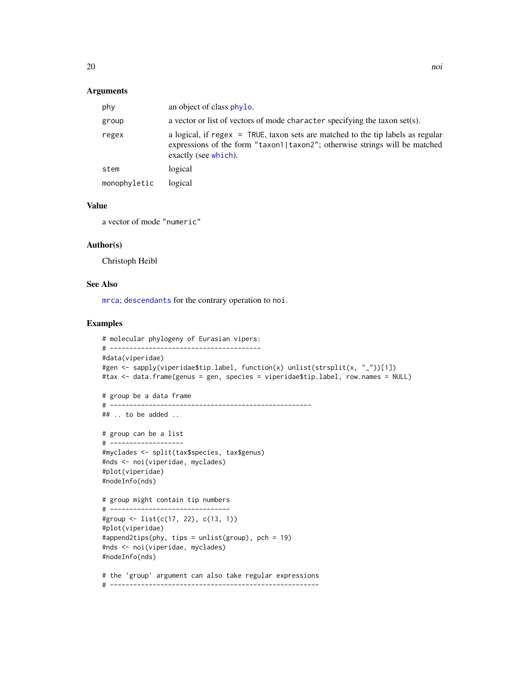#### <span id="page-19-0"></span>Arguments

| phy          | an object of class phylo.                                                                                                                                                             |
|--------------|---------------------------------------------------------------------------------------------------------------------------------------------------------------------------------------|
| group        | a vector or list of vectors of mode character specifying the taxon set(s).                                                                                                            |
| regex        | a logical, if regex = TRUE, taxon sets are matched to the tip labels as regular<br>expressions of the form "taxon1 taxon2"; otherwise strings will be matched<br>exactly (see which). |
| stem         | logical                                                                                                                                                                               |
| monophyletic | logical                                                                                                                                                                               |

# Value

a vector of mode "numeric"

#### Author(s)

Christoph Heibl

# See Also

[mrca](#page-0-0); [descendants](#page-7-1) for the contrary operation to noi.

# Examples

```
# molecular phylogeny of Eurasian vipers:
# ---------------------------------------
#data(viperidae)
#gen <- sapply(viperidae$tip.label, function(x) unlist(strsplit(x, "_"))[1])
#tax <- data.frame(genus = gen, species = viperidae$tip.label, row.names = NULL)
# group be a data frame
# ----------------------------------------------------
## .. to be added ..
# group can be a list
# -------------------
#myclades <- split(tax$species, tax$genus)
#nds <- noi(viperidae, myclades)
#plot(viperidae)
#nodeInfo(nds)
# group might contain tip numbers
# -------------------------------
#group <- list(c(17, 22), c(13, 1))
#plot(viperidae)
#append2tips(phy, tips = unlist(group), pch = 19)
#nds <- noi(viperidae, myclades)
#nodeInfo(nds)
# the 'group' argument can also take regular expressions
# ------------------------------------------------------
```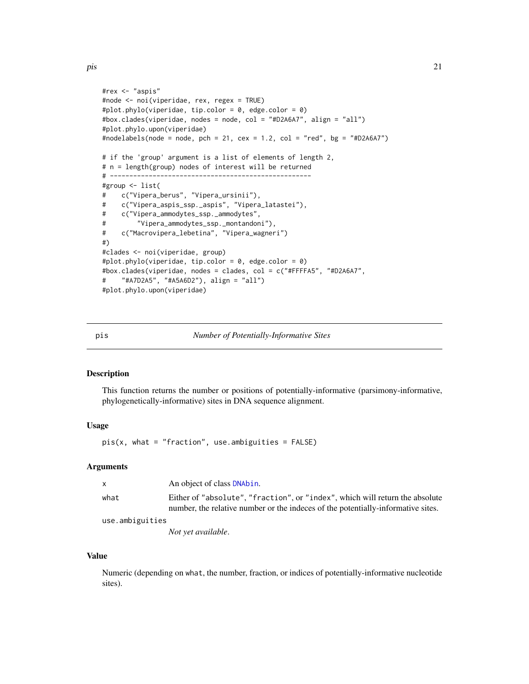```
#rex <- "aspis"
#node <- noi(viperidae, rex, regex = TRUE)
#plot.phylo(viperidae, tip.color = 0, edge.color = 0)
#box.clades(viperidae, nodes = node, col = "#D2A6A7", align = "all")
#plot.phylo.upon(viperidae)
#nodelabels(node = node, pch = 21, cex = 1.2, col = "red", bg = "#D2A6A7")
# if the 'group' argument is a list of elements of length 2,
# n = length(group) nodes of interest will be returned
\# ----------
#group <- list(
# c("Vipera_berus", "Vipera_ursinii"),
# c("Vipera_aspis_ssp._aspis", "Vipera_latastei"),
# c("Vipera_ammodytes_ssp._ammodytes",
# "Vipera_ammodytes_ssp._montandoni"),
# c("Macrovipera_lebetina", "Vipera_wagneri")
#)
#clades <- noi(viperidae, group)
#plot.phylo(viperidae, tip.color = 0, edge.color = 0)
#box.clades(viperidae, nodes = clades, col = c("#FFFFA5", "#D2A6A7",
# "#A7D2A5", "#A5A6D2"), align = "all")
#plot.phylo.upon(viperidae)
```

| D1S | Number of Potentially-Informative Sites |  |
|-----|-----------------------------------------|--|
|     |                                         |  |

#### Description

This function returns the number or positions of potentially-informative (parsimony-informative, phylogenetically-informative) sites in DNA sequence alignment.

#### Usage

 $pis(x, what = "fraction", use. ambiguities = FALSE)$ 

#### Arguments

| X               | An object of class DNAbin.                                                                                                                                       |
|-----------------|------------------------------------------------------------------------------------------------------------------------------------------------------------------|
| what            | Either of "absolute", "fraction", or "index", which will return the absolute<br>number, the relative number or the indeces of the potentially-informative sites. |
| use.ambiguities |                                                                                                                                                                  |
|                 | Not yet available.                                                                                                                                               |

#### Value

Numeric (depending on what, the number, fraction, or indices of potentially-informative nucleotide sites).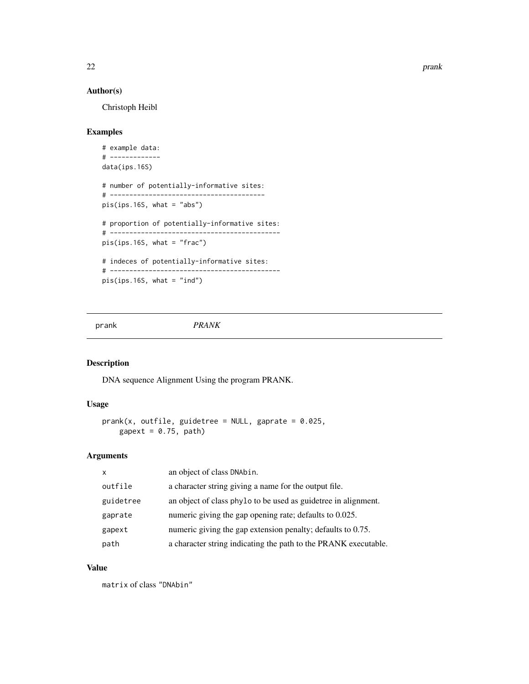<span id="page-21-0"></span>22 prank and the set of the set of the set of the set of the set of the set of the set of the set of the set of the set of the set of the set of the set of the set of the set of the set of the set of the set of the set of

# Author(s)

Christoph Heibl

# Examples

```
# example data:
# -------------
data(ips.16S)
# number of potentially-informative sites:
# ----------------------------------------
pis(ips.16S, what = "abs")
# proportion of potentially-informative sites:
# --------------------------------------------
pis(ips.16S, what = "frac")
# indeces of potentially-informative sites:
# --------------------------------------------
pis(ips.16S, what = "ind")
```
<span id="page-21-1"></span>

#### prank *PRANK*

# Description

DNA sequence Alignment Using the program PRANK.

# Usage

```
prank(x, outfile, guidetree = NULL, gaprate = 0.025,
    gapext = 0.75, path)
```
# Arguments

| $\mathsf{x}$ | an object of class DNAbin.                                      |
|--------------|-----------------------------------------------------------------|
| outfile      | a character string giving a name for the output file.           |
| guidetree    | an object of class phylo to be used as guidetree in alignment.  |
| gaprate      | numeric giving the gap opening rate; defaults to 0.025.         |
| gapext       | numeric giving the gap extension penalty; defaults to 0.75.     |
| path         | a character string indicating the path to the PRANK executable. |

#### Value

matrix of class "DNAbin"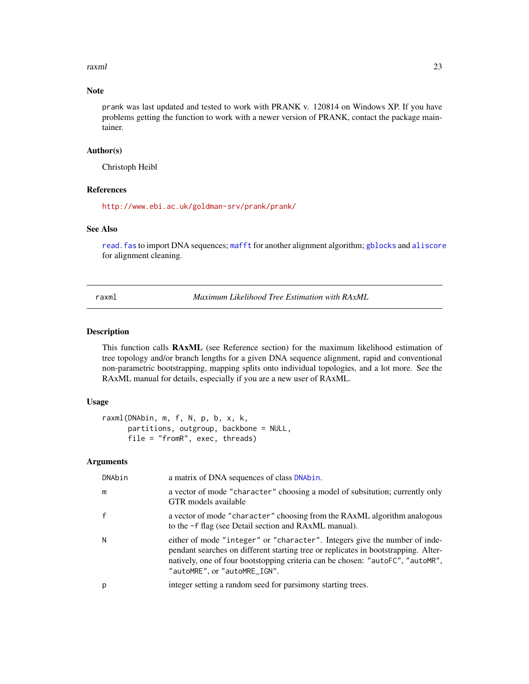<span id="page-22-0"></span>raxml 23

# Note

prank was last updated and tested to work with PRANK v. 120814 on Windows XP. If you have problems getting the function to work with a newer version of PRANK, contact the package maintainer.

# Author(s)

Christoph Heibl

# References

<http://www.ebi.ac.uk/goldman-srv/prank/prank/>

#### See Also

[read.fas](#page-29-1) to import DNA sequences; [mafft](#page-13-1) for another alignment algorithm; [gblocks](#page-9-1) and [aliscore](#page-2-1) for alignment cleaning.

<span id="page-22-1"></span>raxml *Maximum Likelihood Tree Estimation with RAxML*

#### Description

This function calls RAxML (see Reference section) for the maximum likelihood estimation of tree topology and/or branch lengths for a given DNA sequence alignment, rapid and conventional non-parametric bootstrapping, mapping splits onto individual topologies, and a lot more. See the RAxML manual for details, especially if you are a new user of RAxML.

#### Usage

```
raxml(DNAbin, m, f, N, p, b, x, k,
     partitions, outgroup, backbone = NULL,
     file = "fromR", exec, threads)
```
#### Arguments

| DNAbin | a matrix of DNA sequences of class DNAbin.                                                                                                                                                                                                                                         |
|--------|------------------------------------------------------------------------------------------------------------------------------------------------------------------------------------------------------------------------------------------------------------------------------------|
| m      | a vector of mode "character" choosing a model of subsitution; currently only<br>GTR models available                                                                                                                                                                               |
|        | a vector of mode "character" choosing from the RAxML algorithm analogous<br>to the -f flag (see Detail section and RAxML manual).                                                                                                                                                  |
| N      | either of mode "integer" or "character". Integers give the number of inde-<br>pendant searches on different starting tree or replicates in bootstrapping. Alter-<br>natively, one of four bootstopping criteria can be chosen: "autoFC", "autoMR",<br>"autoMRE", or "autoMRE_IGN". |
|        | integer setting a random seed for parsimony starting trees.                                                                                                                                                                                                                        |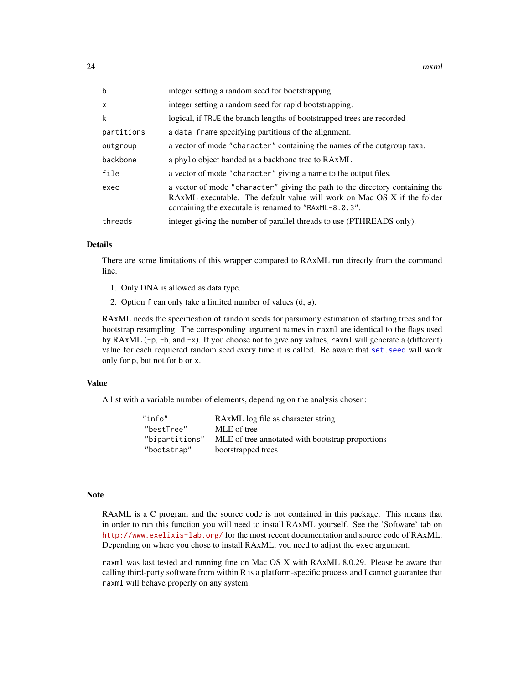<span id="page-23-0"></span>

| $\mathbf b$  | integer setting a random seed for bootstrapping.                                                                                                                                                                 |
|--------------|------------------------------------------------------------------------------------------------------------------------------------------------------------------------------------------------------------------|
| $\mathsf{x}$ | integer setting a random seed for rapid bootstrapping.                                                                                                                                                           |
| k            | logical, if TRUE the branch lengths of bootstrapped trees are recorded                                                                                                                                           |
| partitions   | a data frame specifying partitions of the alignment.                                                                                                                                                             |
| outgroup     | a vector of mode "character" containing the names of the outgroup taxa.                                                                                                                                          |
| backbone     | a phylo object handed as a backbone tree to RAxML.                                                                                                                                                               |
| file         | a vector of mode "character" giving a name to the output files.                                                                                                                                                  |
| exec         | a vector of mode "character" giving the path to the directory containing the<br>RAXML executable. The default value will work on Mac OS X if the folder<br>containing the executale is renamed to "RAxML-8.0.3". |
| threads      | integer giving the number of parallel threads to use (PTHREADS only).                                                                                                                                            |

#### Details

There are some limitations of this wrapper compared to RAxML run directly from the command line.

- 1. Only DNA is allowed as data type.
- 2. Option f can only take a limited number of values (d, a).

RAxML needs the specification of random seeds for parsimony estimation of starting trees and for bootstrap resampling. The corresponding argument names in raxml are identical to the flags used by RAxML (-p, -b, and -x). If you choose not to give any values, raxml will generate a (different) value for each requiered random seed every time it is called. Be aware that [set.seed](#page-0-0) will work only for p, but not for b or x.

#### Value

A list with a variable number of elements, depending on the analysis chosen:

"info" RAxML log file as character string "bestTree" MLE of tree "bipartitions" MLE of tree annotated with bootstrap proportions "bootstrap" bootstrapped trees

#### **Note**

RAxML is a C program and the source code is not contained in this package. This means that in order to run this function you will need to install RAxML yourself. See the 'Software' tab on <http://www.exelixis-lab.org/> for the most recent documentation and source code of RAxML. Depending on where you chose to install RAxML, you need to adjust the exec argument.

raxml was last tested and running fine on Mac OS X with RAxML 8.0.29. Please be aware that calling third-party software from within R is a platform-specific process and I cannot guarantee that raxml will behave properly on any system.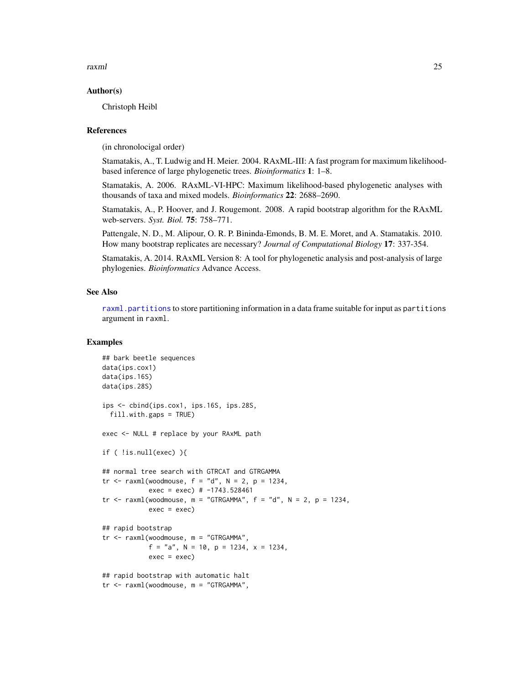<span id="page-24-0"></span>raxml 25

#### Author(s)

Christoph Heibl

#### References

(in chronolocigal order)

Stamatakis, A., T. Ludwig and H. Meier. 2004. RAxML-III: A fast program for maximum likelihoodbased inference of large phylogenetic trees. *Bioinformatics* 1: 1–8.

Stamatakis, A. 2006. RAxML-VI-HPC: Maximum likelihood-based phylogenetic analyses with thousands of taxa and mixed models. *Bioinformatics* 22: 2688–2690.

Stamatakis, A., P. Hoover, and J. Rougemont. 2008. A rapid bootstrap algorithm for the RAxML web-servers. *Syst. Biol.* 75: 758–771.

Pattengale, N. D., M. Alipour, O. R. P. Bininda-Emonds, B. M. E. Moret, and A. Stamatakis. 2010. How many bootstrap replicates are necessary? *Journal of Computational Biology* 17: 337-354.

Stamatakis, A. 2014. RAxML Version 8: A tool for phylogenetic analysis and post-analysis of large phylogenies. *Bioinformatics* Advance Access.

#### See Also

[raxml.partitions](#page-25-1) to store partitioning information in a data frame suitable for input as partitions argument in raxml.

# Examples

```
## bark beetle sequences
data(ips.cox1)
data(ips.16S)
data(ips.28S)
ips <- cbind(ips.cox1, ips.16S, ips.28S,
 fill.with.gaps = TRUE)
exec <- NULL # replace by your RAxML path
if ( !is.null(exec) ){
## normal tree search with GTRCAT and GTRGAMMA
tr \leq raxml(woodmouse, f = "d", N = 2, p = 1234,exec = exec) # -1743.528461tr \le raxml(woodmouse, m = "GTRGAMMA", f = "d", N = 2, p = 1234,
            exec = exec)## rapid bootstrap
tr <- raxml(woodmouse, m = "GTRGAMMA",
            f = "a", N = 10, p = 1234, x = 1234,exec = exec## rapid bootstrap with automatic halt
tr <- raxml(woodmouse, m = "GTRGAMMA",
```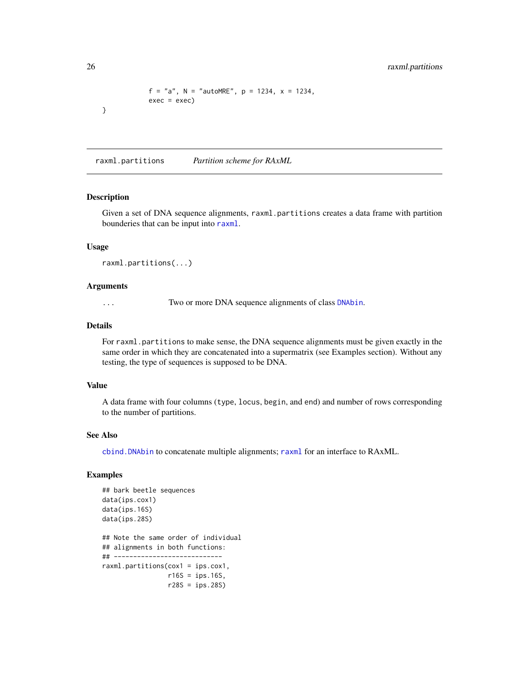```
f = "a", N = "autoMRE", p = 1234, x = 1234,exec = exec)
```
<span id="page-25-1"></span>raxml.partitions *Partition scheme for RAxML*

#### Description

}

Given a set of DNA sequence alignments, raxml.partitions creates a data frame with partition bounderies that can be input into [raxml](#page-22-1).

# Usage

raxml.partitions(...)

#### Arguments

... Two or more DNA sequence alignments of class [DNAbin](#page-0-0).

#### Details

For raxml.partitions to make sense, the DNA sequence alignments must be given exactly in the same order in which they are concatenated into a supermatrix (see Examples section). Without any testing, the type of sequences is supposed to be DNA.

# Value

A data frame with four columns (type, locus, begin, and end) and number of rows corresponding to the number of partitions.

#### See Also

[cbind.DNAbin](#page-0-0) to concatenate multiple alignments; [raxml](#page-22-1) for an interface to RAxML.

# Examples

```
## bark beetle sequences
data(ips.cox1)
data(ips.16S)
data(ips.28S)
## Note the same order of individual
## alignments in both functions:
## ----------------------------
raxml.partitions(cox1 = ips.cox1,
                 r16S = ips.16S,r28S = ips.28S)
```
<span id="page-25-0"></span>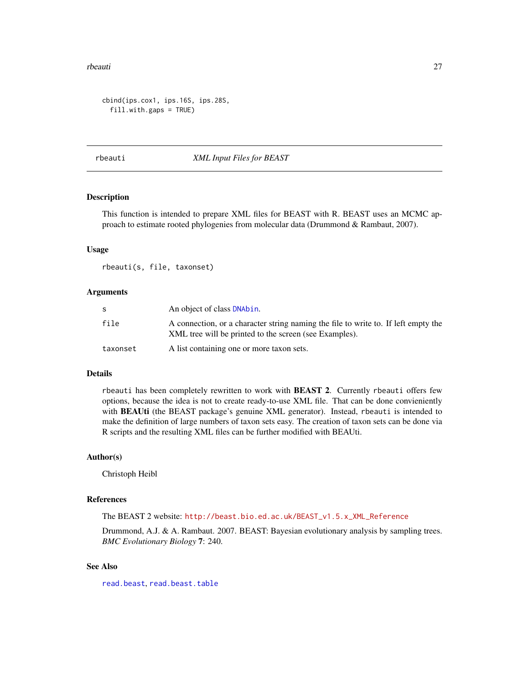#### <span id="page-26-0"></span>rbeauti zo za zastawa na kwanza wa 1999 hadi wa 1999 hadi wa 1999 hadi wa 1999 hadi wa 2011. Wakati wa 1991 ha

```
cbind(ips.cox1, ips.16S, ips.28S,
 fill.with.gaps = TRUE)
```
<span id="page-26-1"></span>rbeauti *XML Input Files for BEAST*

#### Description

This function is intended to prepare XML files for BEAST with R. BEAST uses an MCMC approach to estimate rooted phylogenies from molecular data (Drummond & Rambaut, 2007).

#### Usage

rbeauti(s, file, taxonset)

#### Arguments

|          | An object of class DNAbin.                                                                                                                   |
|----------|----------------------------------------------------------------------------------------------------------------------------------------------|
| file     | A connection, or a character string naming the file to write to. If left empty the<br>XML tree will be printed to the screen (see Examples). |
| taxonset | A list containing one or more taxon sets.                                                                                                    |

#### Details

rbeauti has been completely rewritten to work with BEAST 2. Currently rbeauti offers few options, because the idea is not to create ready-to-use XML file. That can be done convieniently with BEAUti (the BEAST package's genuine XML generator). Instead, rbeauti is intended to make the definition of large numbers of taxon sets easy. The creation of taxon sets can be done via R scripts and the resulting XML files can be further modified with BEAUti.

#### Author(s)

Christoph Heibl

#### References

The BEAST 2 website: [http://beast.bio.ed.ac.uk/BEAST\\_v1.5.x\\_XML\\_Reference](http://beast.bio.ed.ac.uk/BEAST_v1.5.x_XML_Reference)

Drummond, A.J. & A. Rambaut. 2007. BEAST: Bayesian evolutionary analysis by sampling trees. *BMC Evolutionary Biology* 7: 240.

# See Also

[read.beast](#page-27-1), [read.beast.table](#page-28-1)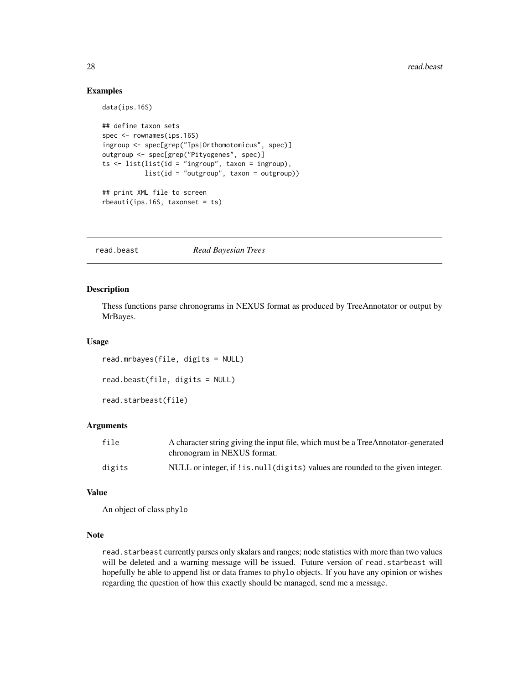# Examples

data(ips.16S)

```
## define taxon sets
spec <- rownames(ips.16S)
ingroup <- spec[grep("Ips|Orthomotomicus", spec)]
outgroup <- spec[grep("Pityogenes", spec)]
ts \le list(list(id = "ingroup", taxon = ingroup),
           list(id = "outgroup", taxon = outgroup))
## print XML file to screen
rbeauti(ips.16S, taxonset = ts)
```
<span id="page-27-1"></span>read.beast *Read Bayesian Trees*

# Description

Thess functions parse chronograms in NEXUS format as produced by TreeAnnotator or output by MrBayes.

#### Usage

read.mrbayes(file, digits = NULL)

read.beast(file, digits = NULL)

read.starbeast(file)

#### Arguments

| file   | A character string giving the input file, which must be a TreeAnnotator-generated |
|--------|-----------------------------------------------------------------------------------|
|        | chronogram in NEXUS format.                                                       |
| digits | NULL or integer, if ! is . null (digits) values are rounded to the given integer. |

#### Value

An object of class phylo

# Note

read. starbeast currently parses only skalars and ranges; node statistics with more than two values will be deleted and a warning message will be issued. Future version of read.starbeast will hopefully be able to append list or data frames to phylo objects. If you have any opinion or wishes regarding the question of how this exactly should be managed, send me a message.

<span id="page-27-0"></span>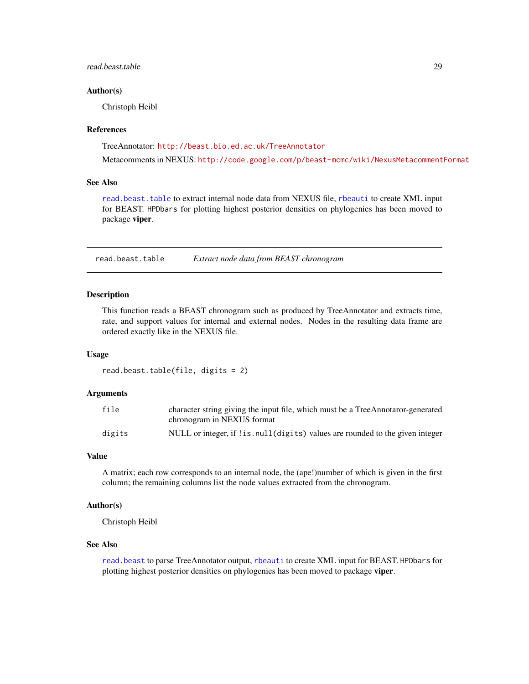# <span id="page-28-0"></span>read.beast.table 29

#### Author(s)

Christoph Heibl

#### References

TreeAnnotator: <http://beast.bio.ed.ac.uk/TreeAnnotator>

Metacomments in NEXUS: <http://code.google.com/p/beast-mcmc/wiki/NexusMetacommentFormat>

#### See Also

[read.beast.table](#page-28-1) to extract internal node data from NEXUS file, [rbeauti](#page-26-1) to create XML input for BEAST. HPDbars for plotting highest posterior densities on phylogenies has been moved to package viper.

<span id="page-28-1"></span>read.beast.table *Extract node data from BEAST chronogram*

# **Description**

This function reads a BEAST chronogram such as produced by TreeAnnotator and extracts time, rate, and support values for internal and external nodes. Nodes in the resulting data frame are ordered exactly like in the NEXUS file.

#### Usage

```
read.beast.table(file, digits = 2)
```
#### Arguments

| file   | character string giving the input file, which must be a TreeAnnotaror-generated<br>chronogram in NEXUS format |
|--------|---------------------------------------------------------------------------------------------------------------|
| digits | NULL or integer, if ! is. null (digits) values are rounded to the given integer                               |

# Value

A matrix; each row corresponds to an internal node, the (ape!)number of which is given in the first column; the remaining columns list the node values extracted from the chronogram.

#### Author(s)

Christoph Heibl

#### See Also

[read.beast](#page-27-1) to parse TreeAnnotator output, [rbeauti](#page-26-1) to create XML input for BEAST. HPDbars for plotting highest posterior densities on phylogenies has been moved to package viper.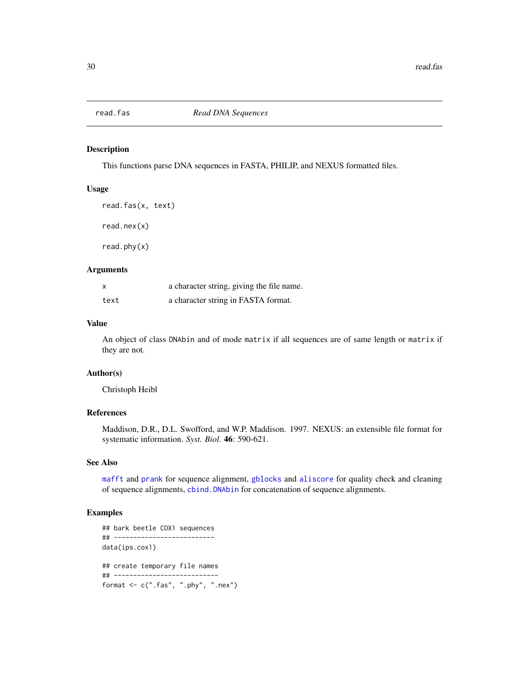<span id="page-29-1"></span><span id="page-29-0"></span>

#### <span id="page-29-2"></span>Description

This functions parse DNA sequences in FASTA, PHILIP, and NEXUS formatted files.

#### Usage

```
read.fas(x, text)
read.nex(x)
read.phy(x)
```
# Arguments

| x    | a character string, giving the file name. |
|------|-------------------------------------------|
| text | a character string in FASTA format.       |

# Value

An object of class DNAbin and of mode matrix if all sequences are of same length or matrix if they are not.

#### Author(s)

Christoph Heibl

# References

Maddison, D.R., D.L. Swofford, and W.P. Maddison. 1997. NEXUS: an extensible file format for systematic information. *Syst. Biol.* 46: 590-621.

# See Also

[mafft](#page-13-1) and [prank](#page-21-1) for sequence alignment, [gblocks](#page-9-1) and [aliscore](#page-2-1) for quality check and cleaning of sequence alignments, [cbind.DNAbin](#page-0-0) for concatenation of sequence alignments.

# Examples

```
## bark beetle COX1 sequences
## --------------------------
data(ips.cox1)
## create temporary file names
## ---------------------------
format \leq c("fas", "phy", "nex")
```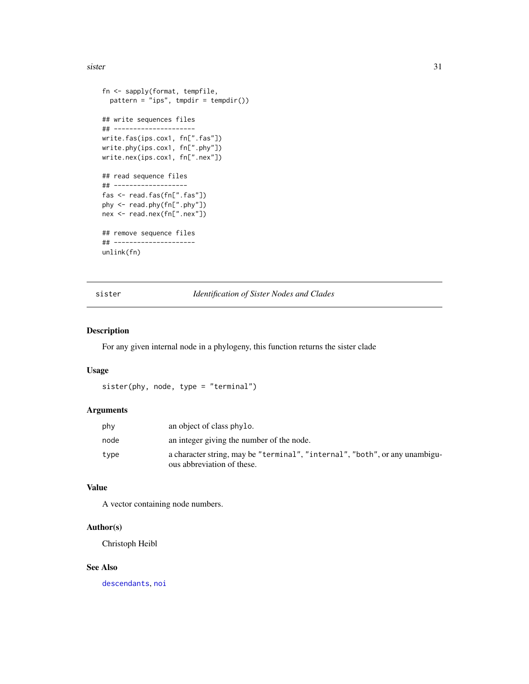<span id="page-30-0"></span>sister 31

```
fn <- sapply(format, tempfile,
  pattern = "ips", tmpdir = tempdir())## write sequences files
## ---------------------
write.fas(ips.cox1, fn[".fas"])
write.phy(ips.cox1, fn[".phy"])
write.nex(ips.cox1, fn[".nex"])
## read sequence files
## -------------------
fas <- read.fas(fn[".fas"])
phy <- read.phy(fn[".phy"])
nex <- read.nex(fn[".nex"])
## remove sequence files
## ---------------------
unlink(fn)
```
<span id="page-30-1"></span>sister *Identification of Sister Nodes and Clades*

#### Description

For any given internal node in a phylogeny, this function returns the sister clade

# Usage

sister(phy, node, type = "terminal")

# Arguments

| phy  | an object of class phylo.                                                                                 |
|------|-----------------------------------------------------------------------------------------------------------|
| node | an integer giving the number of the node.                                                                 |
| type | a character string, may be "terminal", "internal", "both", or any unambigu-<br>ous abbreviation of these. |

#### Value

A vector containing node numbers.

# Author(s)

Christoph Heibl

#### See Also

[descendants](#page-7-1), [noi](#page-18-1)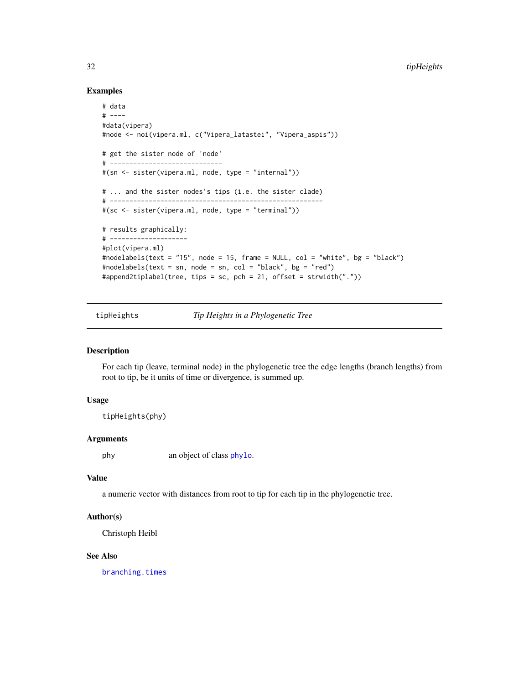#### Examples

```
# data
# ----
#data(vipera)
#node <- noi(vipera.ml, c("Vipera_latastei", "Vipera_aspis"))
# get the sister node of 'node'
# -----------------------------
#(sn <- sister(vipera.ml, node, type = "internal"))
# ... and the sister nodes's tips (i.e. the sister clade)
# -------------------------------------------------------
#(sc <- sister(vipera.ml, node, type = "terminal"))
# results graphically:
# --------------------
#plot(vipera.ml)
#nodelabels(text = "15", node = 15, frame = NULL, col = "white", bg = "black")
#nodelabels(text = sn, node = sn, col = "black", bg = "red")
#append2tiplabel(tree, tips = sc, pch = 21, offset = strwidth("."))
```
tipHeights *Tip Heights in a Phylogenetic Tree*

# **Description**

For each tip (leave, terminal node) in the phylogenetic tree the edge lengths (branch lengths) from root to tip, be it units of time or divergence, is summed up.

# Usage

tipHeights(phy)

#### Arguments

phy an object of class [phylo](#page-0-0).

# Value

a numeric vector with distances from root to tip for each tip in the phylogenetic tree.

#### Author(s)

Christoph Heibl

# See Also

[branching.times](#page-0-0)

<span id="page-31-0"></span>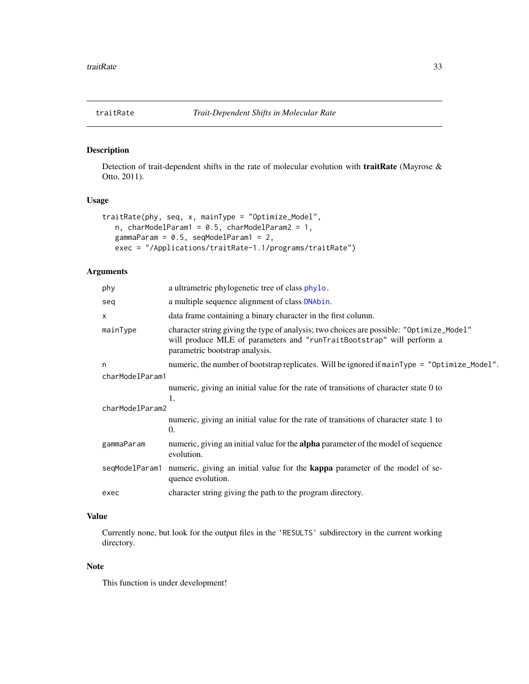<span id="page-32-0"></span>

# Description

Detection of trait-dependent shifts in the rate of molecular evolution with traitRate (Mayrose & Otto, 2011).

# Usage

```
traitRate(phy, seq, x, mainType = "Optimize_Model",
  n, charModelParam1 = 0.5, charModelParam2 = 1,
  gammaParam = 0.5, seqModelParam1 = 2,
  exec = "/Applications/traitRate-1.1/programs/traitRate")
```
# Arguments

| phy             | a ultrametric phylogenetic tree of class phylo.                                                                                                                                                     |
|-----------------|-----------------------------------------------------------------------------------------------------------------------------------------------------------------------------------------------------|
| seq             | a multiple sequence alignment of class DNAbin.                                                                                                                                                      |
| X               | data frame containing a binary character in the first column.                                                                                                                                       |
| mainType        | character string giving the type of analysis; two choices are possible: "Optimize_Model"<br>will produce MLE of parameters and "runTraitBootstrap" will perform a<br>parametric bootstrap analysis. |
| n               | numeric, the number of bootstrap replicates. Will be ignored if $mainType = "Optimize_model".$                                                                                                      |
| charModelParam1 |                                                                                                                                                                                                     |
|                 | numeric, giving an initial value for the rate of transitions of character state 0 to<br>1.                                                                                                          |
| charModelParam2 |                                                                                                                                                                                                     |
|                 | numeric, giving an initial value for the rate of transitions of character state 1 to<br>0.                                                                                                          |
| gammaParam      | numeric, giving an initial value for the <b>alpha</b> parameter of the model of sequence<br>evolution.                                                                                              |
| seqModelParam1  | numeric, giving an initial value for the <b>kappa</b> parameter of the model of se-<br>quence evolution.                                                                                            |
| exec            | character string giving the path to the program directory.                                                                                                                                          |
|                 |                                                                                                                                                                                                     |

# Value

Currently none, but look for the output files in the 'RESULTS' subdirectory in the current working directory.

#### Note

This function is under development!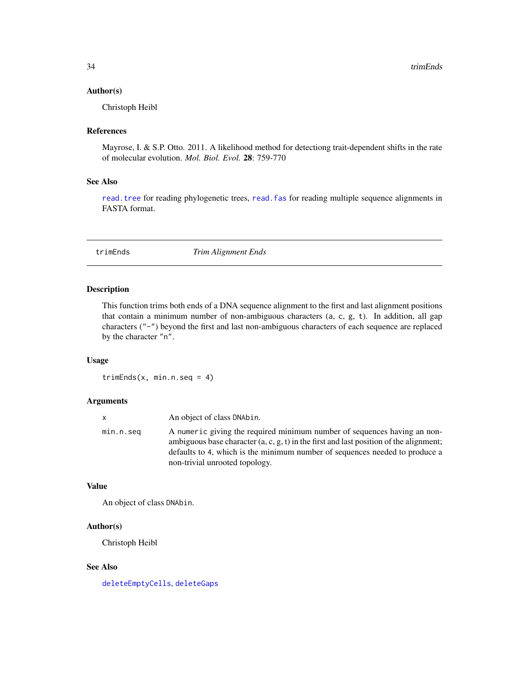#### <span id="page-33-0"></span>Author(s)

Christoph Heibl

#### References

Mayrose, I. & S.P. Otto. 2011. A likelihood method for detectiong trait-dependent shifts in the rate of molecular evolution. *Mol. Biol. Evol.* 28: 759-770

## See Also

[read.tree](#page-0-0) for reading phylogenetic trees, [read.fas](#page-29-1) for reading multiple sequence alignments in FASTA format.

<span id="page-33-1"></span>trimEnds *Trim Alignment Ends*

#### Description

This function trims both ends of a DNA sequence alignment to the first and last alignment positions that contain a minimum number of non-ambiguous characters (a, c, g, t). In addition, all gap characters ("-") beyond the first and last non-ambiguous characters of each sequence are replaced by the character "n".

# Usage

 $trimEnds(x, min.n.seq = 4)$ 

#### Arguments

| X         | An object of class DNAbin.                                                                                                                                                                                                                                                            |
|-----------|---------------------------------------------------------------------------------------------------------------------------------------------------------------------------------------------------------------------------------------------------------------------------------------|
| min.n.seq | A numeric giving the required minimum number of sequences having an non-<br>ambiguous base character $(a, c, g, t)$ in the first and last position of the alignment;<br>defaults to 4, which is the minimum number of sequences needed to produce a<br>non-trivial unrooted topology. |

#### Value

An object of class DNAbin.

# Author(s)

Christoph Heibl

## See Also

[deleteEmptyCells](#page-5-1), [deleteGaps](#page-6-1)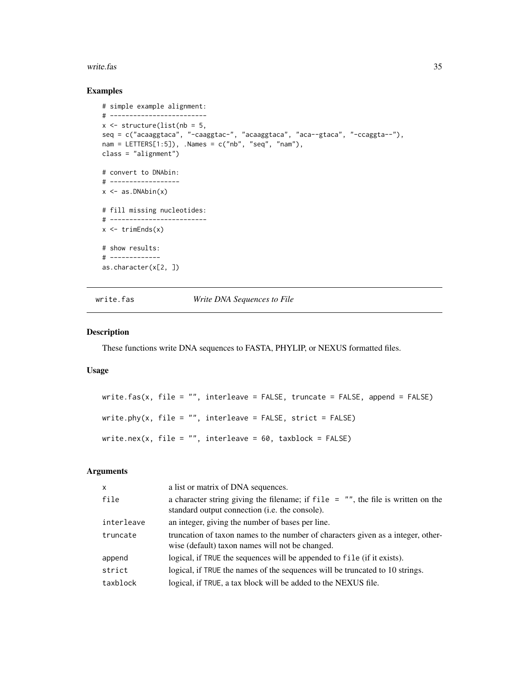#### <span id="page-34-0"></span>write.fas 35

#### Examples

```
# simple example alignment:
# -------------------------
x \le- structure(list(nb = 5,
seq = c("acaaggtaca", "-caaggtac-", "acaaggtaca", "aca--gtaca", "-ccaggta--"),
nam = LETTERS[1:5]), .Names = c("nb", "seq", "nam"),
class = "alignment")
# convert to DNAbin:
# ------------------
x \leftarrow as.DNabin(x)# fill missing nucleotides:
# -------------------------
x \leftarrow \text{trimEnds}(x)# show results:
# -------------
as.character(x[2, ])
```
<span id="page-34-1"></span>write.fas *Write DNA Sequences to File*

# <span id="page-34-2"></span>Description

These functions write DNA sequences to FASTA, PHYLIP, or NEXUS formatted files.

# Usage

write.fas(x, file =  $"$ , interleave = FALSE, truncate = FALSE, append = FALSE) write.phy(x, file =  $"$ , interleave = FALSE, strict = FALSE) write.nex(x, file =  $"$ , interleave = 60, taxblock = FALSE)

# Arguments

| $\mathsf{x}$ | a list or matrix of DNA sequences.                                                                                                           |
|--------------|----------------------------------------------------------------------------------------------------------------------------------------------|
| file         | a character string giving the filename; if $file = "$ , the file is written on the<br>standard output connection ( <i>i.e.</i> the console). |
| interleave   | an integer, giving the number of bases per line.                                                                                             |
| truncate     | truncation of taxon names to the number of characters given as a integer, other-<br>wise (default) taxon names will not be changed.          |
| append       | logical, if TRUE the sequences will be appended to file (if it exists).                                                                      |
| strict       | logical, if TRUE the names of the sequences will be truncated to 10 strings.                                                                 |
| taxblock     | logical, if TRUE, a tax block will be added to the NEXUS file.                                                                               |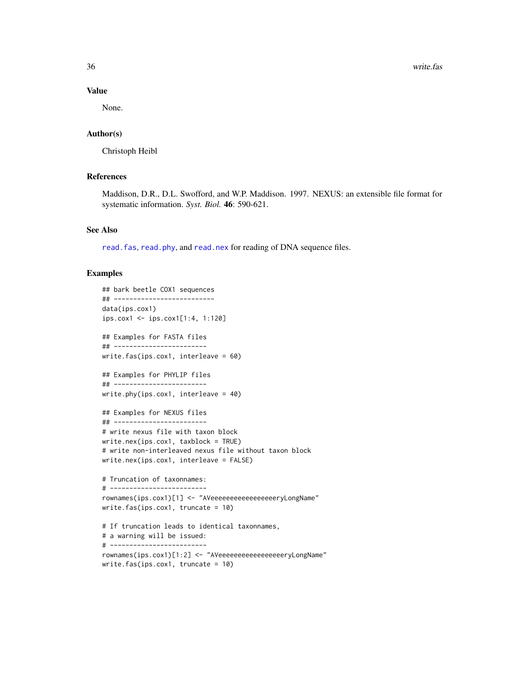36 write.fash write.fash write.fash write.fash write.fash write.fash write.fash write.fash write.fash write.fash

#### Value

None.

# Author(s)

Christoph Heibl

# References

Maddison, D.R., D.L. Swofford, and W.P. Maddison. 1997. NEXUS: an extensible file format for systematic information. *Syst. Biol.* 46: 590-621.

#### See Also

[read.fas](#page-29-1), [read.phy](#page-29-2), and [read.nex](#page-29-2) for reading of DNA sequence files.

#### Examples

```
## bark beetle COX1 sequences
## --------------------------
data(ips.cox1)
ips.cox1 <- ips.cox1[1:4, 1:120]
## Examples for FASTA files
## ------------------------
write.fas(ips.cox1, interleave = 60)
## Examples for PHYLIP files
## ------------------------
write.phy(ips.cox1, interleave = 40)
## Examples for NEXUS files
## ------------------------
# write nexus file with taxon block
write.nex(ips.cox1, taxblock = TRUE)
# write non-interleaved nexus file without taxon block
write.nex(ips.cox1, interleave = FALSE)
# Truncation of taxonnames:
# -------------------------
rownames(ips.cox1)[1] <- "AVeeeeeeeeeeeeeeeeeryLongName"
write.fas(ips.cox1, truncate = 10)
# If truncation leads to identical taxonnames,
# a warning will be issued:
# -------------------------
rownames(ips.cox1)[1:2] <- "AVeeeeeeeeeeeeeeeeeryLongName"
write.fas(ips.cox1, truncate = 10)
```
<span id="page-35-0"></span>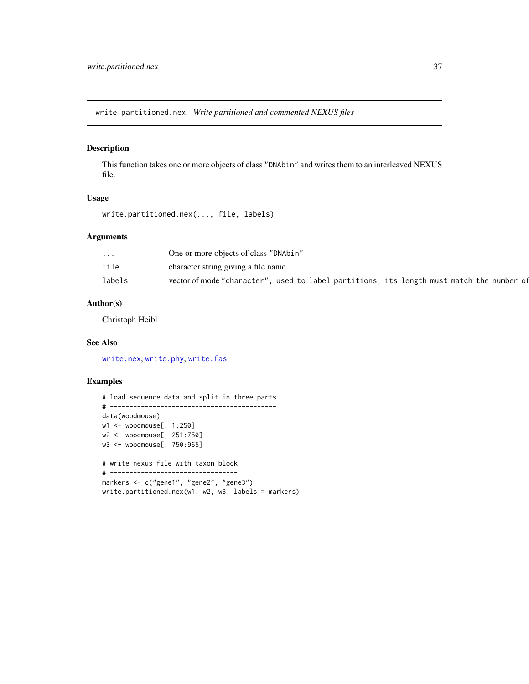<span id="page-36-1"></span><span id="page-36-0"></span>write.partitioned.nex *Write partitioned and commented NEXUS files*

# Description

This function takes one or more objects of class "DNAbin" and writes them to an interleaved NEXUS file.

#### Usage

write.partitioned.nex(..., file, labels)

# Arguments

| $\cdot$ $\cdot$ $\cdot$ | One or more objects of class "DNAbin"                                                     |
|-------------------------|-------------------------------------------------------------------------------------------|
| file                    | character string giving a file name                                                       |
| labels                  | vector of mode "character"; used to label partitions; its length must match the number of |

# Author(s)

Christoph Heibl

# See Also

[write.nex](#page-34-2), [write.phy](#page-34-2), [write.fas](#page-34-1)

# Examples

# load sequence data and split in three parts # ------------------------------------------ data(woodmouse) w1 <- woodmouse[, 1:250] w2 <- woodmouse[, 251:750] w3 <- woodmouse[, 750:965] # write nexus file with taxon block # -------------------------------- markers <- c("gene1", "gene2", "gene3") write.partitioned.nex(w1, w2, w3, labels = markers)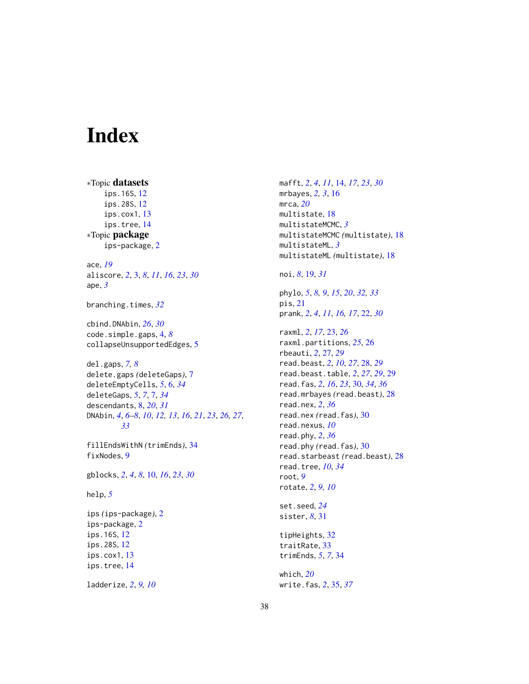# <span id="page-37-0"></span>Index

∗Topic datasets ips.16S, [12](#page-11-0) ips.28S, [12](#page-11-0) ips.cox1, [13](#page-12-0) ips.tree, [14](#page-13-0) ∗Topic package ips-package, [2](#page-1-0) ace, *[19](#page-18-0)* aliscore, *[2](#page-1-0)*, [3,](#page-2-0) *[8](#page-7-0)*, *[11](#page-10-0)*, *[16](#page-15-0)*, *[23](#page-22-0)*, *[30](#page-29-0)* ape, *[3](#page-2-0)* branching.times, *[32](#page-31-0)* cbind.DNAbin, *[26](#page-25-0)*, *[30](#page-29-0)* code.simple.gaps, [4,](#page-3-0) *[8](#page-7-0)* collapseUnsupportedEdges, [5](#page-4-0) del.gaps, *[7,](#page-6-0) [8](#page-7-0)* delete.gaps *(*deleteGaps*)*, [7](#page-6-0) deleteEmptyCells, *[5](#page-4-0)*, [6,](#page-5-0) *[34](#page-33-0)* deleteGaps, *[5](#page-4-0)*, *[7](#page-6-0)*, [7,](#page-6-0) *[34](#page-33-0)* descendants, [8,](#page-7-0) *[20](#page-19-0)*, *[31](#page-30-0)* DNAbin, *[4](#page-3-0)*, *[6](#page-5-0)[–8](#page-7-0)*, *[10](#page-9-0)*, *[12,](#page-11-0) [13](#page-12-0)*, *[16](#page-15-0)*, *[21](#page-20-0)*, *[23](#page-22-0)*, *[26,](#page-25-0) [27](#page-26-0)*, *[33](#page-32-0)* fillEndsWithN *(*trimEnds*)*, [34](#page-33-0) fixNodes, [9](#page-8-0) gblocks, *[2](#page-1-0)*, *[4](#page-3-0)*, *[8](#page-7-0)*, [10,](#page-9-0) *[16](#page-15-0)*, *[23](#page-22-0)*, *[30](#page-29-0)* help, *[5](#page-4-0)* ips *(*ips-package*)*, [2](#page-1-0) ips-package, [2](#page-1-0) ips.16S, [12](#page-11-0) ips.28S, [12](#page-11-0) ips.cox1, [13](#page-12-0) ips.tree, [14](#page-13-0)

ladderize, *[2](#page-1-0)*, *[9,](#page-8-0) [10](#page-9-0)*

mafft, *[2](#page-1-0)*, *[4](#page-3-0)*, *[11](#page-10-0)*, [14,](#page-13-0) *[17](#page-16-0)*, *[23](#page-22-0)*, *[30](#page-29-0)* mrbayes, *[2,](#page-1-0) [3](#page-2-0)*, [16](#page-15-0) mrca, *[20](#page-19-0)* multistate, [18](#page-17-0) multistateMCMC, *[3](#page-2-0)* multistateMCMC *(*multistate*)*, [18](#page-17-0) multistateML, *[3](#page-2-0)* multistateML *(*multistate*)*, [18](#page-17-0)

noi, *[8](#page-7-0)*, [19,](#page-18-0) *[31](#page-30-0)*

phylo, *[5](#page-4-0)*, *[8,](#page-7-0) [9](#page-8-0)*, *[15](#page-14-0)*, *[20](#page-19-0)*, *[32,](#page-31-0) [33](#page-32-0)* pis, [21](#page-20-0) prank, *[2](#page-1-0)*, *[4](#page-3-0)*, *[11](#page-10-0)*, *[16,](#page-15-0) [17](#page-16-0)*, [22,](#page-21-0) *[30](#page-29-0)*

raxml, *[2](#page-1-0)*, *[17](#page-16-0)*, [23,](#page-22-0) *[26](#page-25-0)* raxml.partitions, *[25](#page-24-0)*, [26](#page-25-0) rbeauti, *[2](#page-1-0)*, [27,](#page-26-0) *[29](#page-28-0)* read.beast, *[2](#page-1-0)*, *[10](#page-9-0)*, *[27](#page-26-0)*, [28,](#page-27-0) *[29](#page-28-0)* read.beast.table, *[2](#page-1-0)*, *[27](#page-26-0)*, *[29](#page-28-0)*, [29](#page-28-0) read.fas, *[2](#page-1-0)*, *[16](#page-15-0)*, *[23](#page-22-0)*, [30,](#page-29-0) *[34](#page-33-0)*, *[36](#page-35-0)* read.mrbayes *(*read.beast*)*, [28](#page-27-0) read.nex, *[2](#page-1-0)*, *[36](#page-35-0)* read.nex *(*read.fas*)*, [30](#page-29-0) read.nexus, *[10](#page-9-0)* read.phy, *[2](#page-1-0)*, *[36](#page-35-0)* read.phy *(*read.fas*)*, [30](#page-29-0) read.starbeast *(*read.beast*)*, [28](#page-27-0) read.tree, *[10](#page-9-0)*, *[34](#page-33-0)* root, *[9](#page-8-0)* rotate, *[2](#page-1-0)*, *[9,](#page-8-0) [10](#page-9-0)* set.seed, *[24](#page-23-0)* sister, *[8](#page-7-0)*, [31](#page-30-0) tipHeights, [32](#page-31-0)

traitRate, [33](#page-32-0) trimEnds, *[5](#page-4-0)*, *[7](#page-6-0)*, [34](#page-33-0)

which, *[20](#page-19-0)* write.fas, *[2](#page-1-0)*, [35,](#page-34-0) *[37](#page-36-0)*